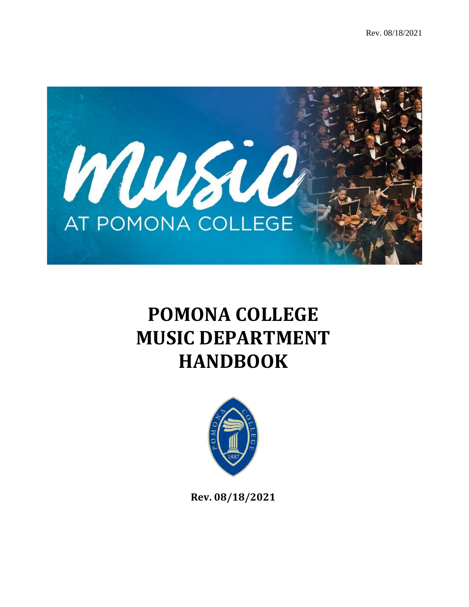

# **POMONA COLLEGE MUSIC DEPARTMENT HANDBOOK**



**Rev. 08/18/2021**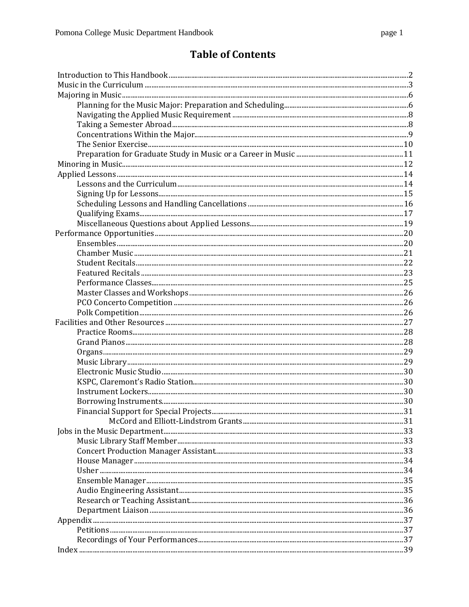# **Table of Contents**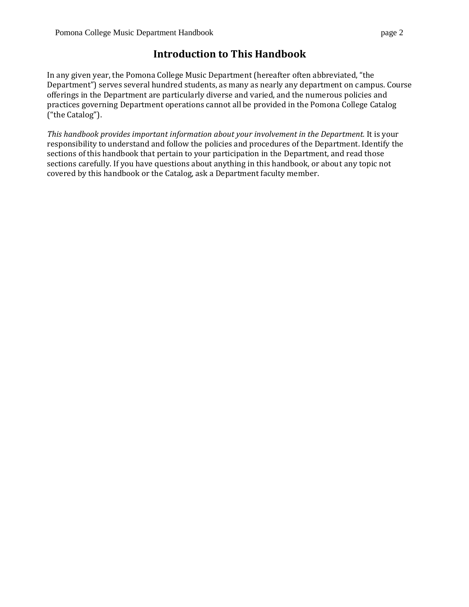# **Introduction to This Handbook**

In any given year, the [Pomona College Music Department](https://www.pomona.edu/academics/departments/music) (hereafter often abbreviated, "the Department") serves several hundred students, as many as nearly any department on campus. Course offerings in the Department are particularly diverse and varied, and the numerous policies and practices governing Department operations cannot all be provided in the Pomona College Catalog ("the Catalog").

*This handbook provides important information about your involvement in the Department.* It is your responsibility to understand and follow the policies and procedures of the Department. Identify the sections of this handbook that pertain to your participation in the Department, and read those sections carefully. If you have questions about anything in this handbook, or about any topic not covered by this handbook or the Catalog, ask a Department faculty member.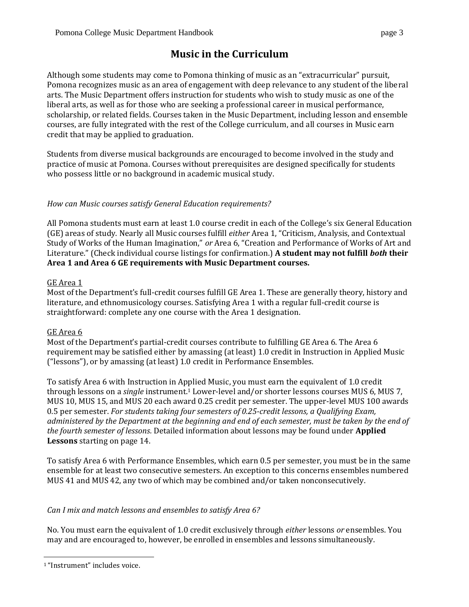# **Music in the Curriculum**

<span id="page-3-0"></span>Although some students may come to Pomona thinking of music as an "extracurricular" pursuit, Pomona recognizes music as an area of engagement with deep relevance to any student of the liberal arts. The Music Department offers instruction for students who wish to study music as one of the liberal arts, as well as for those who are seeking a professional career in musical performance, scholarship, or related fields. Courses taken in the Music Department, including lesson and ensemble courses, are fully integrated with the rest of the College curriculum, and all courses in Music earn credit that may be applied to graduation.

Students from diverse musical backgrounds are encouraged to become involved in the study and practice of music at Pomona. Courses without prerequisites are designed specifically for students who possess little or no background in academic musical study.

# *How can Music courses satisfy General Education requirements?*

All Pomona students must earn at least 1.0 course credit in each of the College's six General Education (GE) areas of study. Nearly all Music courses fulfill *either* Area 1, "Criticism, Analysis, and Contextual Study of Works of the Human Imagination," *or* Area 6, "Creation and Performance of Works of Art and Literature." (Check individual course listings for confirmation.) **A student may not fulfill** *both* **their Area 1 and Area 6 GE requirements with Music Department courses.**

## GE Area 1

Most of the Department's full-credit courses fulfill GE Area 1. These are generally theory, history and literature, and ethnomusicology courses. Satisfying Area 1 with a regular full-credit course is straightforward: complete any one course with the Area 1 designation.

## GE Area 6

Most of the Department's partial-credit courses contribute to fulfilling GE Area 6. The Area 6 requirement may be satisfied either by amassing (at least) 1.0 credit in Instruction in Applied Music ("lessons"), or by amassing (at least) 1.0 credit in Performance Ensembles.

To satisfy Area 6 with Instruction in Applied Music, you must earn the equivalent of 1.0 credit through lessons on a *single* instrument.<sup>1</sup> Lower-level and/or shorter lessons courses MUS 6, MUS 7, MUS 10, MUS 15, and MUS 20 each award 0.25 credit per semester. The upper-level MUS 100 awards 0.5 per semester. *For students taking four semesters of 0.25-credit lessons, a Qualifying Exam, administered by the Department at the beginning and end of each semester, must be taken by the end of the fourth semester of lessons.* Detailed information about lessons may be found under **Applied Lessons** starting on page 14.

To satisfy Area 6 with Performance Ensembles, which earn 0.5 per semester, you must be in the same ensemble for at least two consecutive semesters. An exception to this concerns ensembles numbered MUS 41 and MUS 42, any two of which may be combined and/or taken nonconsecutively.

## *Can I mix and match lessons and ensembles to satisfy Area 6?*

No. You must earn the equivalent of 1.0 credit exclusively through *either* lessons *or* ensembles. You may and are encouraged to, however, be enrolled in ensembles and lessons simultaneously.

<sup>1</sup> "Instrument" includes voice.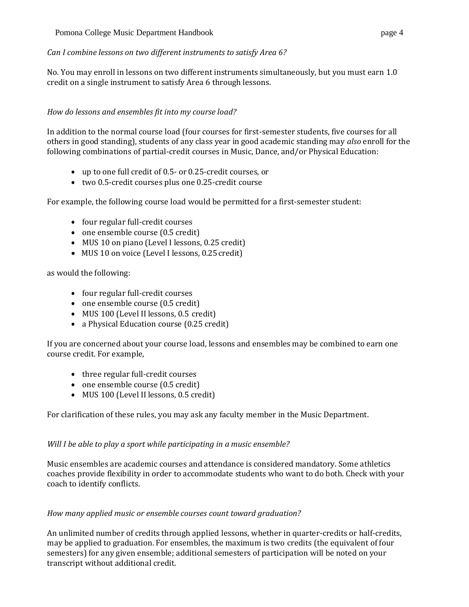No. You may enroll in lessons on two different instruments simultaneously, but you must earn 1.0 credit on a single instrument to satisfy Area 6 through lessons.

# *How do lessons and ensembles fit into my course load?*

In addition to the normal course load (four courses for first-semester students, five courses for all others in good standing), students of any class year in good academic standing may *also* enroll for the following combinations of partial-credit courses in Music, Dance, and/or Physical Education:

- up to one full credit of 0.5- or 0.25-credit courses, or
- two 0.5-credit courses plus one 0.25-credit course

For example, the following course load would be permitted for a first-semester student:

- four regular full-credit courses
- one ensemble course (0.5 credit)
- MUS 10 on piano (Level I lessons, 0.25 credit)
- MUS 10 on voice (Level I lessons, 0.25 credit)

as would the following:

- four regular full-credit courses
- one ensemble course (0.5 credit)
- MUS 100 (Level II lessons, 0.5 credit)
- a Physical Education course (0.25 credit)

If you are concerned about your course load, lessons and ensembles may be combined to earn one course credit. For example,

- three regular full-credit courses
- one ensemble course (0.5 credit)
- MUS 100 (Level II lessons, 0.5 credit)

For clarification of these rules, you may ask any faculty member in the Music Department.

# *Will I be able to play a sport while participating in a music ensemble?*

Music ensembles are academic courses and attendance is considered mandatory. Some athletics coaches provide flexibility in order to accommodate students who want to do both. Check with your coach to identify conflicts.

# *How many applied music or ensemble courses count toward graduation?*

An unlimited number of credits through applied lessons, whether in quarter-credits or half-credits, may be applied to graduation. For ensembles, the maximum is two credits (the equivalent of four semesters) for any given ensemble; additional semesters of participation will be noted on your transcript without additional credit.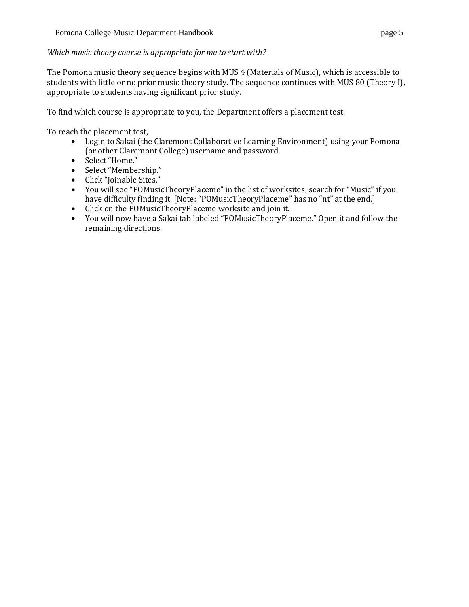#### *Which music theory course is appropriate for me to start with?*

The Pomona music theory sequence begins with MUS 4 (Materials of Music), which is accessible to students with little or no prior music theory study. The sequence continues with MUS 80 (Theory I), appropriate to students having significant prior study.

To find which course is appropriate to you, the Department offers a placement test.

To reach the placement test,

- Login to Sakai (the Claremont Collaborative Learning Environment) using your Pomona (or other Claremont College) username and password.
- Select "Home."
- Select "Membership."
- Click "Joinable Sites."
- You will see "POMusicTheoryPlaceme" in the list of worksites; search for "Music" if you have difficulty finding it. [Note: "POMusicTheoryPlaceme" has no "nt" at the end.]
- Click on the POMusicTheoryPlaceme worksite and join it.
- You will now have a Sakai tab labeled "POMusicTheoryPlaceme." Open it and follow the remaining directions.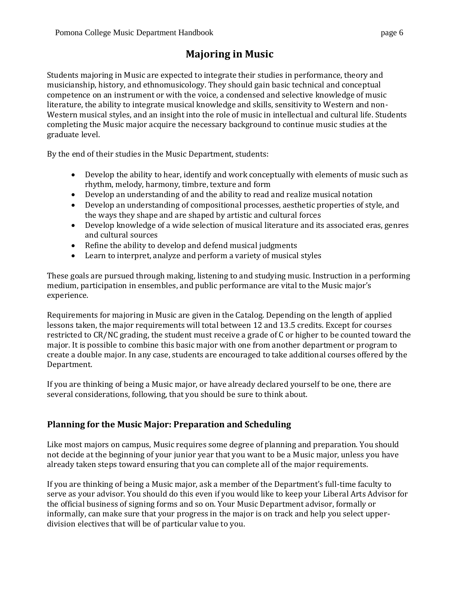# **Majoring in Music**

<span id="page-6-0"></span>Students majoring in Music are expected to integrate their studies in performance, theory and musicianship, history, and ethnomusicology. They should gain basic technical and conceptual competence on an instrument or with the voice, a condensed and selective knowledge of music literature, the ability to integrate musical knowledge and skills, sensitivity to Western and non-Western musical styles, and an insight into the role of music in intellectual and cultural life. Students completing the Music major acquire the necessary background to continue music studies at the graduate level.

By the end of their studies in the Music Department, students:

- Develop the ability to hear, identify and work conceptually with elements of music such as rhythm, melody, harmony, timbre, texture and form
- Develop an understanding of and the ability to read and realize musical notation
- Develop an understanding of compositional processes, aesthetic properties of style, and the ways they shape and are shaped by artistic and cultural forces
- Develop knowledge of a wide selection of musical literature and its associated eras, genres and cultural sources
- Refine the ability to develop and defend musical judgments
- Learn to interpret, analyze and perform a variety of musical styles

These goals are pursued through making, listening to and studying music. Instruction in a performing medium, participation in ensembles, and public performance are vital to the Music major's experience.

Requirements for majoring in Music are given in the Catalog. Depending on the length of applied lessons taken, the major requirements will total between 12 and 13.5 credits. Except for courses restricted to CR/NC grading, the student must receive a grade of C or higher to be counted toward the major. It is possible to combine this basic major with one from another department or program to create a double major. In any case, students are encouraged to take additional courses offered by the Department.

If you are thinking of being a Music major, or have already declared yourself to be one, there are several considerations, following, that you should be sure to think about.

# <span id="page-6-1"></span>**Planning for the Music Major: Preparation and Scheduling**

Like most majors on campus, Music requires some degree of planning and preparation. You should not decide at the beginning of your junior year that you want to be a Music major, unless you have already taken steps toward ensuring that you can complete all of the major requirements.

If you are thinking of being a Music major, ask a member of the Department's full-time faculty to serve as your advisor. You should do this even if you would like to keep your Liberal Arts Advisor for the official business of signing forms and so on. Your Music Department advisor, formally or informally, can make sure that your progress in the major is on track and help you select upperdivision electives that will be of particular value to you.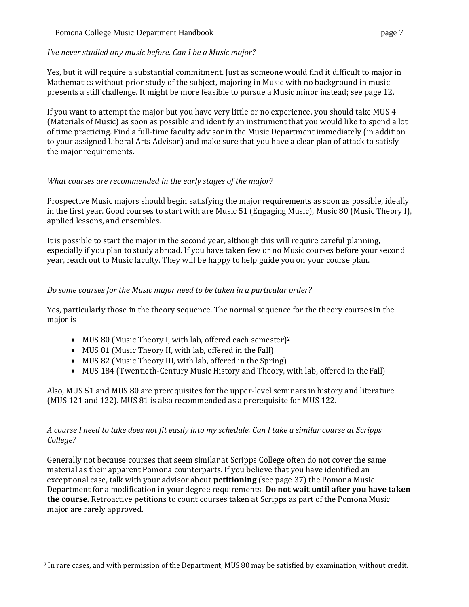#### Pomona College Music Department Handbook page 7

#### *I've never studied any music before. Can I be a Music major?*

Yes, but it will require a substantial commitment. Just as someone would find it difficult to major in Mathematics without prior study of the subject, majoring in Music with no background in music presents a stiff challenge. It might be more feasible to pursue a Music minor instead; see page 12.

If you want to attempt the major but you have very little or no experience, you should take MUS 4 (Materials of Music) as soon as possible and identify an instrument that you would like to spend a lot of time practicing. Find a full-time faculty advisor in the Music Department immediately (in addition to your assigned Liberal Arts Advisor) and make sure that you have a clear plan of attack to satisfy the major requirements.

## *What courses are recommended in the early stages of the major?*

Prospective Music majors should begin satisfying the major requirements as soon as possible, ideally in the first year. Good courses to start with are Music 51 (Engaging Music), Music 80 (Music Theory I), applied lessons, and ensembles.

It is possible to start the major in the second year, although this will require careful planning, especially if you plan to study abroad. If you have taken few or no Music courses before your second year, reach out to Music faculty. They will be happy to help guide you on your course plan.

# *Do some courses for the Music major need to be taken in a particular order?*

Yes, particularly those in the theory sequence. The normal sequence for the theory courses in the major is

- MUS 80 (Music Theory I, with lab, offered each semester)<sup>2</sup>
- MUS 81 (Music Theory II, with lab, offered in the Fall)
- MUS 82 (Music Theory III, with lab, offered in the Spring)
- MUS 184 (Twentieth-Century Music History and Theory, with lab, offered in the Fall)

Also, MUS 51 and MUS 80 are prerequisites for the upper-level seminars in history and literature (MUS 121 and 122). MUS 81 is also recommended as a prerequisite for MUS 122.

# *A course I need to take does not fit easily into my schedule. Can I take a similar course at Scripps College?*

Generally not because courses that seem similar at Scripps College often do not cover the same material as their apparent Pomona counterparts. If you believe that you have identified an exceptional case, talk with your advisor about **petitioning** (see page 37) the Pomona Music Department for a modification in your degree requirements. **Do not wait until after you have taken the course.** Retroactive petitions to count courses taken at Scripps as part of the Pomona Music major are rarely approved.

<span id="page-7-0"></span><sup>2</sup> In rare cases, and with permission of the Department, MUS 80 may be satisfied by examination, without credit.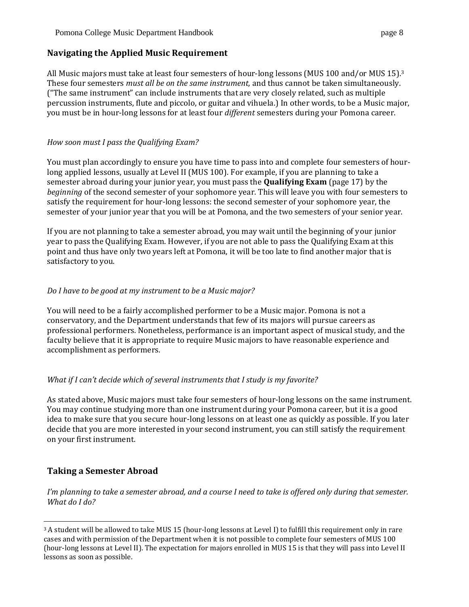# **Navigating the Applied Music Requirement**

All Music majors must take at least four semesters of hour-long lessons (MUS 100 and/or MUS 15).<sup>3</sup> These four semesters *must all be on the same instrument,* and thus cannot be taken simultaneously. ("The same instrument" can include instruments that are very closely related, such as multiple percussion instruments, flute and piccolo, or guitar and vihuela.) In other words, to be a Music major, you must be in hour-long lessons for at least four *different* semesters during your Pomona career.

# *How soon must I pass the Qualifying Exam?*

You must plan accordingly to ensure you have time to pass into and complete four semesters of hourlong applied lessons, usually at Level II (MUS 100). For example, if you are planning to take a semester abroad during your junior year, you must pass the **Qualifying Exam** (page 17) by the *beginning* of the second semester of your sophomore year. This will leave you with four semesters to satisfy the requirement for hour-long lessons: the second semester of your sophomore year, the semester of your junior year that you will be at Pomona, and the two semesters of your senior year.

If you are not planning to take a semester abroad, you may wait until the beginning of your junior year to pass the Qualifying Exam. However, if you are not able to pass the Qualifying Exam at this point and thus have only two years left at Pomona, it will be too late to find another major that is satisfactory to you.

# *Do I have to be good at my instrument to be a Music major?*

You will need to be a fairly accomplished performer to be a Music major. Pomona is not a conservatory, and the Department understands that few of its majors will pursue careers as professional performers. Nonetheless, performance is an important aspect of musical study, and the faculty believe that it is appropriate to require Music majors to have reasonable experience and accomplishment as performers.

## *What if I can't decide which of several instruments that I study is my favorite?*

As stated above, Music majors must take four semesters of hour-long lessons on the same instrument. You may continue studying more than one instrument during your Pomona career, but it is a good idea to make sure that you secure hour-long lessons on at least one as quickly as possible. If you later decide that you are more interested in your second instrument, you can still satisfy the requirement on your first instrument.

# <span id="page-8-0"></span>**Taking a Semester Abroad**

*I'm planning to take a semester abroad, and a course I need to take is offered only during that semester. What do I do?*

 $3A$  student will be allowed to take MUS 15 (hour-long lessons at Level I) to fulfill this requirement only in rare cases and with permission of the Department when it is not possible to complete four semesters of MUS 100 (hour-long lessons at Level II). The expectation for majors enrolled in MUS 15 is that they will pass into Level II lessons as soon as possible.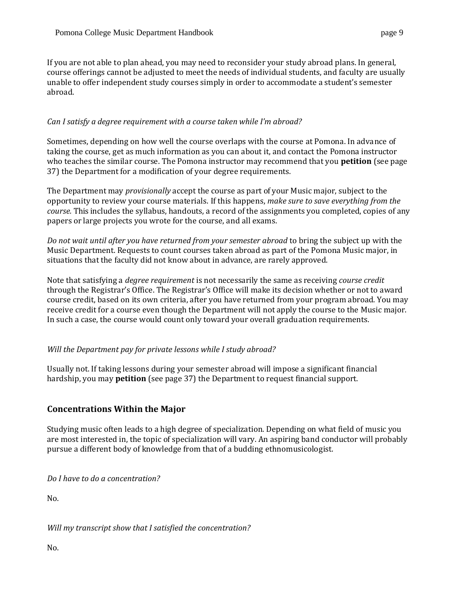If you are not able to plan ahead, you may need to reconsider your study abroad plans. In general, course offerings cannot be adjusted to meet the needs of individual students, and faculty are usually unable to offer independent study courses simply in order to accommodate a student's semester abroad.

## *Can I satisfy a degree requirement with a course taken while I'm abroad?*

Sometimes, depending on how well the course overlaps with the course at Pomona. In advance of taking the course, get as much information as you can about it, and contact the Pomona instructor who teaches the similar course. The Pomona instructor may recommend that you **petition** (see page 37) the Department for a modification of your degree requirements.

The Department may *provisionally* accept the course as part of your Music major, subject to the opportunity to review your course materials. If this happens, *make sure to save everything from the course.* This includes the syllabus, handouts, a record of the assignments you completed, copies of any papers or large projects you wrote for the course, and all exams.

*Do not wait until after you have returned from your semester abroad* to bring the subject up with the Music Department. Requests to count courses taken abroad as part of the Pomona Music major, in situations that the faculty did not know about in advance, are rarely approved.

Note that satisfying a *degree requirement* is not necessarily the same as receiving *course credit*  through the Registrar's Office. The Registrar's Office will make its decision whether or not to award course credit, based on its own criteria, after you have returned from your program abroad. You may receive credit for a course even though the Department will not apply the course to the Music major. In such a case, the course would count only toward your overall graduation requirements.

## *Will the Department pay for private lessons while I study abroad?*

Usually not. If taking lessons during your semester abroad will impose a significant financial hardship, you may **petition** (see page 37) the Department to request financial support.

# <span id="page-9-0"></span>**Concentrations Within the Major**

Studying music often leads to a high degree of specialization. Depending on what field of music you are most interested in, the topic of specialization will vary. An aspiring band conductor will probably pursue a different body of knowledge from that of a budding ethnomusicologist.

*Do I have to do a concentration?*

No.

*Will my transcript show that I satisfied the concentration?*

No.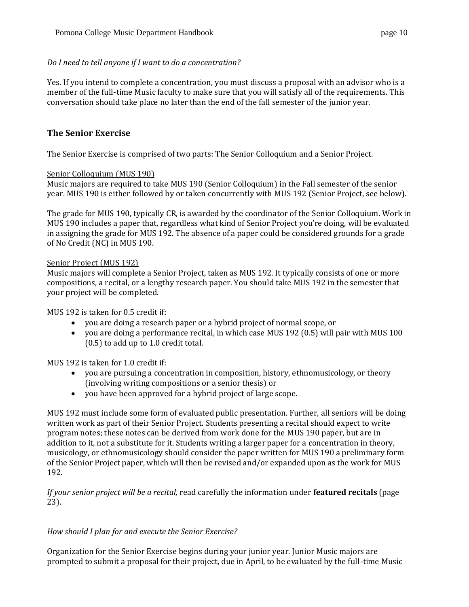# *Do I need to tell anyone if I want to do a concentration?*

Yes. If you intend to complete a concentration, you must discuss a proposal with an advisor who is a member of the full-time Music faculty to make sure that you will satisfy all of the requirements. This conversation should take place no later than the end of the fall semester of the junior year.

# <span id="page-10-0"></span>**The Senior Exercise**

The Senior Exercise is comprised of two parts: The Senior Colloquium and a Senior Project.

# Senior Colloquium (MUS 190)

Music majors are required to take MUS 190 (Senior Colloquium) in the Fall semester of the senior year. MUS 190 is either followed by or taken concurrently with MUS 192 (Senior Project, see below).

The grade for MUS 190, typically CR, is awarded by the coordinator of the Senior Colloquium. Work in MUS 190 includes a paper that, regardless what kind of Senior Project you're doing, will be evaluated in assigning the grade for MUS 192. The absence of a paper could be considered grounds for a grade of No Credit (NC) in MUS 190.

# Senior Project (MUS 192)

Music majors will complete a Senior Project, taken as MUS 192. It typically consists of one or more compositions, a recital, or a lengthy research paper. You should take MUS 192 in the semester that your project will be completed.

MUS 192 is taken for 0.5 credit if:

- you are doing a research paper or a hybrid project of normal scope, or
- you are doing a performance recital, in which case MUS 192 (0.5) will pair with MUS 100 (0.5) to add up to 1.0 credit total.

MUS 192 is taken for 1.0 credit if:

- you are pursuing a concentration in composition, history, ethnomusicology, or theory (involving writing compositions or a senior thesis) or
- you have been approved for a hybrid project of large scope.

MUS 192 must include some form of evaluated public presentation. Further, all seniors will be doing written work as part of their Senior Project. Students presenting a recital should expect to write program notes; these notes can be derived from work done for the MUS 190 paper, but are in addition to it, not a substitute for it. Students writing a larger paper for a concentration in theory, musicology, or ethnomusicology should consider the paper written for MUS 190 a preliminary form of the Senior Project paper, which will then be revised and/or expanded upon as the work for MUS 192.

*If your senior project will be a recital,* read carefully the information under **featured recitals** (page 23).

# *How should I plan for and execute the Senior Exercise?*

Organization for the Senior Exercise begins during your junior year. Junior Music majors are prompted to submit a proposal for their project, due in April, to be evaluated by the full-time Music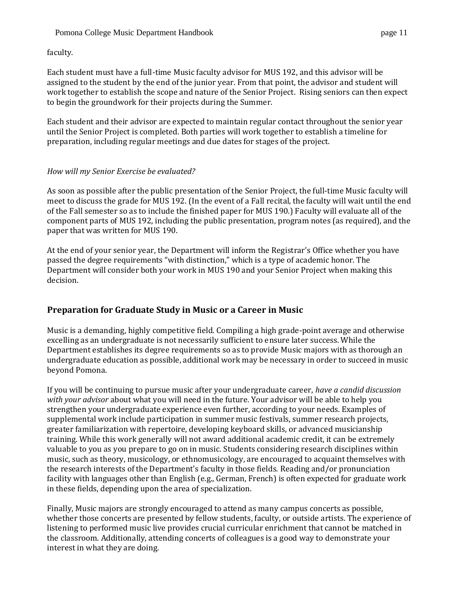faculty.

Each student must have a full-time Music faculty advisor for MUS 192, and this advisor will be assigned to the student by the end of the junior year. From that point, the advisor and student will work together to establish the scope and nature of the Senior Project. Rising seniors can then expect to begin the groundwork for their projects during the Summer.

Each student and their advisor are expected to maintain regular contact throughout the senior year until the Senior Project is completed. Both parties will work together to establish a timeline for preparation, including regular meetings and due dates for stages of the project.

# *How will my Senior Exercise be evaluated?*

As soon as possible after the public presentation of the Senior Project, the full-time Music faculty will meet to discuss the grade for MUS 192. (In the event of a Fall recital, the faculty will wait until the end of the Fall semester so as to include the finished paper for MUS 190.) Faculty will evaluate all of the component parts of MUS 192, including the public presentation, program notes (as required), and the paper that was written for MUS 190.

At the end of your senior year, the Department will inform the Registrar's Office whether you have passed the degree requirements "with distinction," which is a type of academic honor. The Department will consider both your work in MUS 190 and your Senior Project when making this decision.

# <span id="page-11-0"></span>**Preparation for Graduate Study in Music or a Career in Music**

Music is a demanding, highly competitive field. Compiling a high grade-point average and otherwise excelling as an undergraduate is not necessarily sufficient to ensure later success. While the Department establishes its degree requirements so as to provide Music majors with as thorough an undergraduate education as possible, additional work may be necessary in order to succeed in music beyond Pomona.

If you will be continuing to pursue music after your undergraduate career, *have a candid discussion with your advisor* about what you will need in the future. Your advisor will be able to help you strengthen your undergraduate experience even further, according to your needs. Examples of supplemental work include participation in summer music festivals, summer research projects, greater familiarization with repertoire, developing keyboard skills, or advanced musicianship training. While this work generally will not award additional academic credit, it can be extremely valuable to you as you prepare to go on in music. Students considering research disciplines within music, such as theory, musicology, or ethnomusicology, are encouraged to acquaint themselves with the research interests of the Department's faculty in those fields. Reading and/or pronunciation facility with languages other than English (e.g., German, French) is often expected for graduate work in these fields, depending upon the area of specialization.

Finally, Music majors are strongly encouraged to attend as many campus concerts as possible, whether those concerts are presented by fellow students, faculty, or outside artists. The experience of listening to performed music live provides crucial curricular enrichment that cannot be matched in the classroom. Additionally, attending concerts of colleagues is a good way to demonstrate your interest in what they are doing.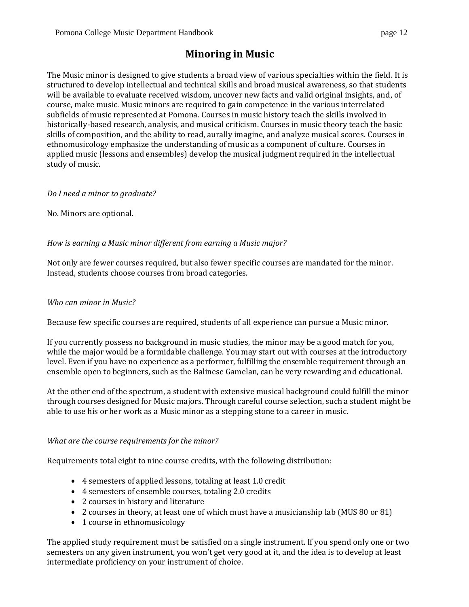# **Minoring in Music**

<span id="page-12-0"></span>The Music minor is designed to give students a broad view of various specialties within the field. It is structured to develop intellectual and technical skills and broad musical awareness, so that students will be available to evaluate received wisdom, uncover new facts and valid original insights, and, of course, make music. Music minors are required to gain competence in the various interrelated subfields of music represented at Pomona. Courses in music history teach the skills involved in historically-based research, analysis, and musical criticism. Courses in music theory teach the basic skills of composition, and the ability to read, aurally imagine, and analyze musical scores. Courses in ethnomusicology emphasize the understanding of music as a component of culture. Courses in applied music (lessons and ensembles) develop the musical judgment required in the intellectual study of music.

# *Do I need a minor to graduate?*

No. Minors are optional.

# *How is earning a Music minor different from earning a Music major?*

Not only are fewer courses required, but also fewer specific courses are mandated for the minor. Instead, students choose courses from broad categories.

## *Who can minor in Music?*

Because few specific courses are required, students of all experience can pursue a Music minor.

If you currently possess no background in music studies, the minor may be a good match for you, while the major would be a formidable challenge. You may start out with courses at the introductory level. Even if you have no experience as a performer, fulfilling the ensemble requirement through an ensemble open to beginners, such as the Balinese Gamelan, can be very rewarding and educational.

At the other end of the spectrum, a student with extensive musical background could fulfill the minor through courses designed for Music majors. Through careful course selection, such a student might be able to use his or her work as a Music minor as a stepping stone to a career in music.

## *What are the course requirements for the minor?*

Requirements total eight to nine course credits, with the following distribution:

- 4 semesters of applied lessons, totaling at least 1.0 credit
- 4 semesters of ensemble courses, totaling 2.0 credits
- 2 courses in history and literature
- 2 courses in theory, at least one of which must have a musicianship lab (MUS 80 or 81)
- 1 course in ethnomusicology

The applied study requirement must be satisfied on a single instrument. If you spend only one or two semesters on any given instrument, you won't get very good at it, and the idea is to develop at least intermediate proficiency on your instrument of choice.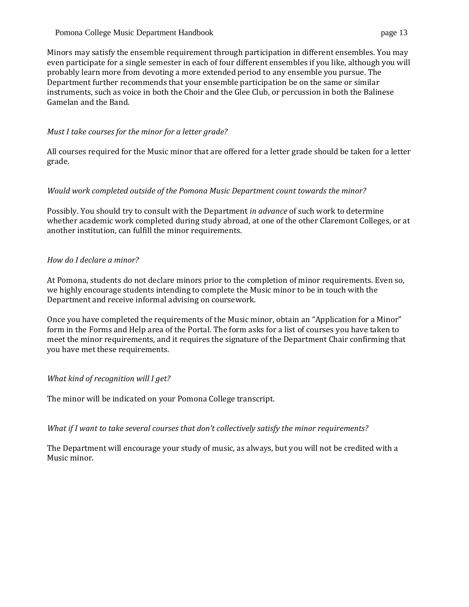#### Pomona College Music Department Handbook page 13

Minors may satisfy the ensemble requirement through participation in different ensembles. You may even participate for a single semester in each of four different ensembles if you like, although you will probably learn more from devoting a more extended period to any ensemble you pursue. The Department further recommends that your ensemble participation be on the same or similar instruments, such as voice in both the Choir and the Glee Club, or percussion in both the Balinese Gamelan and the Band.

#### *Must I take courses for the minor for a letter grade?*

All courses required for the Music minor that are offered for a letter grade should be taken for a letter grade.

## *Would work completed outside of the Pomona Music Department count towards the minor?*

Possibly. You should try to consult with the Department *in advance* of such work to determine whether academic work completed during study abroad, at one of the other Claremont Colleges, or at another institution, can fulfill the minor requirements.

#### *How do I declare a minor?*

At Pomona, students do not declare minors prior to the completion of minor requirements. Even so, we highly encourage students intending to complete the Music minor to be in touch with the Department and receive informal advising on coursework.

Once you have completed the requirements of the Music minor, obtain an "Application for a Minor" form in the Forms and Help area of the Portal. The form asks for a list of courses you have taken to meet the minor requirements, and it requires the signature of the Department Chair confirming that you have met these requirements.

## *What kind of recognition will I get?*

The minor will be indicated on your Pomona College transcript.

*What if I want to take several courses that don't collectively satisfy the minor requirements?*

The Department will encourage your study of music, as always, but you will not be credited with a Music minor.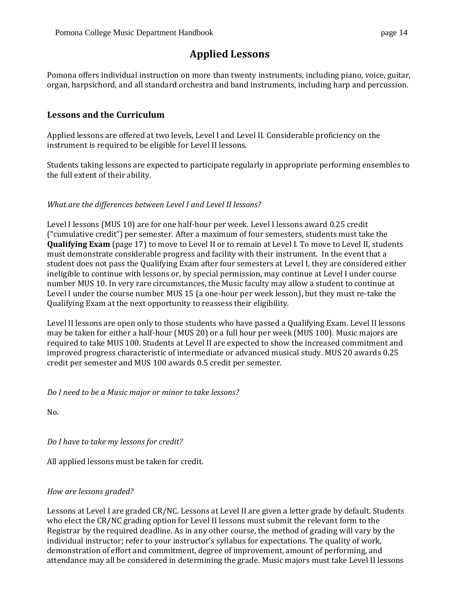# **Applied Lessons**

<span id="page-14-0"></span>Pomona offers individual instruction on more than twenty instruments, including piano, voice, guitar, organ, harpsichord, and all standard orchestra and band instruments, including harp and percussion.

# <span id="page-14-1"></span>**Lessons and the Curriculum**

Applied lessons are offered at two levels, Level I and Level II. Considerable proficiency on the instrument is required to be eligible for Level II lessons.

Students taking lessons are expected to participate regularly in appropriate performing ensembles to the full extent of their ability.

# <span id="page-14-2"></span>*What are the differences between Level I and Level II lessons?*

Level I lessons (MUS 10) are for one half-hour per week. Level I lessons award 0.25 credit ("cumulative credit") per semester. After a maximum of four semesters, students must take the **Qualifying Exam** (page 17) to move to Level II or to remain at Level I. To move to Level II, students must demonstrate considerable progress and facility with their instrument. In the event that a student does not pass the Qualifying Exam after four semesters at Level I, they are considered either ineligible to continue with lessons or, by special permission, may continue at Level I under course number MUS 10. In very rare circumstances, the Music faculty may allow a student to continue at Level I under the course number MUS 15 (a one-hour per week lesson), but they must re-take the Qualifying Exam at the next opportunity to reassess their eligibility.

Level II lessons are open only to those students who have passed a Qualifying Exam. Level II lessons may be taken for either a half-hour (MUS 20) or a full hour per week (MUS 100). Music majors are required to take MUS 100. Students at Level II are expected to show the increased commitment and improved progress characteristic of intermediate or advanced musical study. MUS 20 awards 0.25 credit per semester and MUS 100 awards 0.5 credit per semester.

*Do I need to be a Music major or minor to take lessons?*

No.

*Do I have to take my lessons for credit?*

All applied lessons must be taken for credit.

# *How are lessons graded?*

Lessons at Level I are graded CR/NC. Lessons at Level II are given a letter grade by default. Students who elect the CR/NC grading option for Level II lessons must submit the relevant form to the Registrar by the required deadline. As in any other course, the method of grading will vary by the individual instructor; refer to your instructor's syllabus for expectations. The quality of work, demonstration of effort and commitment, degree of improvement, amount of performing, and attendance may all be considered in determining the grade. Music majors must take Level II lessons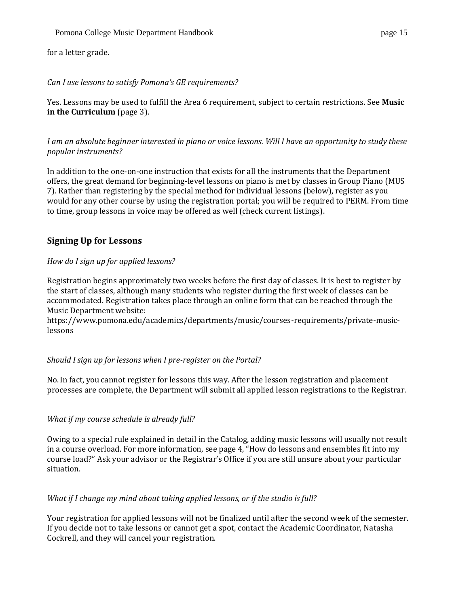for a letter grade.

# *Can I use lessons to satisfy Pomona's GE requirements?*

Yes. Lessons may be used to fulfill the Area 6 requirement, subject to certain restrictions. See **Music in the Curriculum** (page 3).

## *I am an absolute beginner interested in piano or voice lessons. Will I have an opportunity to study these popular instruments?*

In addition to the one-on-one instruction that exists for all the instruments that the Department offers, the great demand for beginning-level lessons on piano is met by classes in Group Piano (MUS 7). Rather than registering by the special method for individual lessons (below), register as you would for any other course by using the registration portal; you will be required to PERM. From time to time, group lessons in voice may be offered as well (check current listings).

# <span id="page-15-0"></span>**Signing Up for Lessons**

# *How do I sign up for applied lessons?*

Registration begins approximately two weeks before the first day of classes. It is best to register by the start of classes, although many students who register during the first week of classes can be accommodated. Registration takes place through an online form that can be reached through the Music Department website:

[https://www.pomona.edu/academics/departments/music/courses-requirements/private-music](https://www.pomona.edu/academics/departments/music/courses-requirements/private-music-lessons)[lessons](https://www.pomona.edu/academics/departments/music/courses-requirements/private-music-lessons)

## *Should I sign up for lessons when I pre-register on the Portal?*

No. In fact, you cannot register for lessons this way. After the lesson registration and placement processes are complete, the Department will submit all applied lesson registrations to the Registrar.

# *What if my course schedule is already full?*

Owing to a special rule explained in detail in the Catalog, adding music lessons will usually not result in a course overload. For more information, see page 4, "How do lessons and ensembles fit into my course load?" Ask your advisor or the Registrar's Office if you are still unsure about your particular situation.

## *What if I change my mind about taking applied lessons, or if the studio is full?*

Your registration for applied lessons will not be finalized until after the second week of the semester. If you decide not to take lessons or cannot get a spot, contact the Academic Coordinator, Natasha Cockrell, and they will cancel your registration.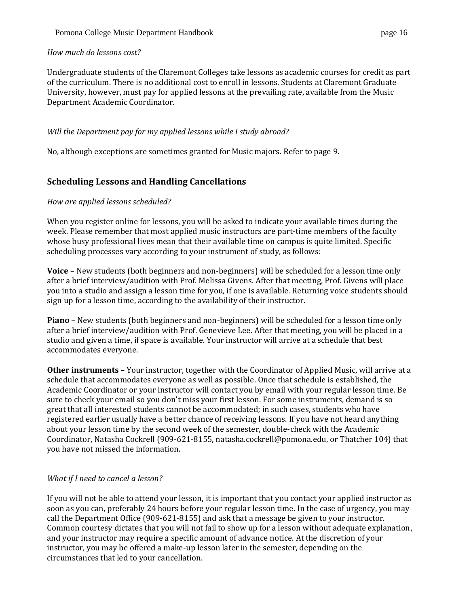## *How much do lessons cost?*

Undergraduate students of the Claremont Colleges take lessons as academic courses for credit as part of the curriculum. There is no additional cost to enroll in lessons. Students at Claremont Graduate University, however, must pay for applied lessons at the prevailing rate, available from the Music Department Academic Coordinator.

## *Will the Department pay for my applied lessons while I study abroad?*

No, although exceptions are sometimes granted for Music majors. Refer to page 9.

# <span id="page-16-0"></span>**Scheduling Lessons and Handling Cancellations**

## *How are applied lessons scheduled?*

When you register online for lessons, you will be asked to indicate your available times during the week. Please remember that most applied music instructors are part-time members of the faculty whose busy professional lives mean that their available time on campus is quite limited. Specific scheduling processes vary according to your instrument of study, as follows:

**Voice –** New students (both beginners and non-beginners) will be scheduled for a lesson time only after a brief interview/audition with Prof. Melissa Givens. After that meeting, Prof. Givens will place you into a studio and assign a lesson time for you, if one is available. Returning voice students should sign up for a lesson time, according to the availability of their instructor.

**Piano** – New students (both beginners and non-beginners) will be scheduled for a lesson time only after a brief interview/audition with Prof. Genevieve Lee. After that meeting, you will be placed in a studio and given a time, if space is available. Your instructor will arrive at a schedule that best accommodates everyone.

**Other instruments** – Your instructor, together with the Coordinator of Applied Music, will arrive at a schedule that accommodates everyone as well as possible. Once that schedule is established, the Academic Coordinator or your instructor will contact you by email with your regular lesson time. Be sure to check your email so you don't miss your first lesson. For some instruments, demand is so great that all interested students cannot be accommodated; in such cases, students who have registered earlier usually have a better chance of receiving lessons. If you have not heard anything about your lesson time by the second week of the semester, double-check with the Academic Coordinator, Natasha Cockrell (909-621-8155, [natasha.cockrell@pomona.edu, o](mailto:natasha.cockrell@pomona.edu,)r Thatcher 104) that you have not missed the information.

## *What if I need to cancel a lesson?*

If you will not be able to attend your lesson, it is important that you contact your applied instructor as soon as you can, preferably 24 hours before your regular lesson time. In the case of urgency, you may call the Department Office (909-621-8155) and ask that a message be given to your instructor. Common courtesy dictates that you will not fail to show up for a lesson without adequate explanation, and your instructor may require a specific amount of advance notice. At the discretion of your instructor, you may be offered a make-up lesson later in the semester, depending on the circumstances that led to your cancellation.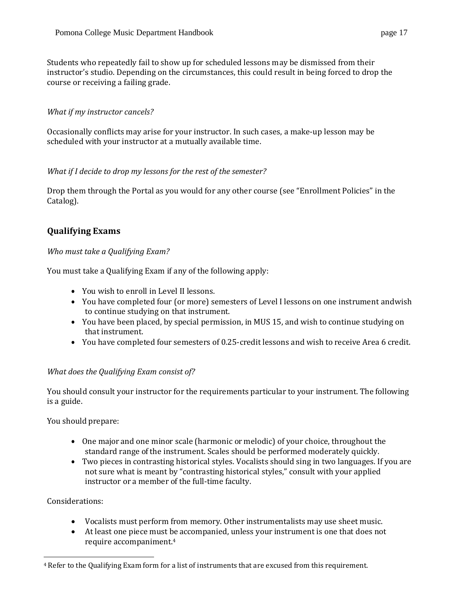Students who repeatedly fail to show up for scheduled lessons may be dismissed from their instructor's studio. Depending on the circumstances, this could result in being forced to drop the course or receiving a failing grade.

# *What if my instructor cancels?*

Occasionally conflicts may arise for your instructor. In such cases, a make-up lesson may be scheduled with your instructor at a mutually available time.

## *What if I decide to drop my lessons for the rest of the semester?*

Drop them through the Portal as you would for any other course (see "Enrollment Policies" in the Catalog).

# <span id="page-17-1"></span><span id="page-17-0"></span>**Qualifying Exams**

## *Who must take a Qualifying Exam?*

You must take a Qualifying Exam if any of the following apply:

- You wish to enroll in Level II lessons.
- You have completed four (or more) semesters of Level I lessons on one instrument andwish to continue studying on that instrument.
- You have been placed, by special permission, in MUS 15, and wish to continue studying on that instrument.
- You have completed four semesters of 0.25-credit lessons and wish to receive Area 6 credit.

## *What does the Qualifying Exam consist of?*

You should consult your instructor for the requirements particular to your instrument. The following is a guide.

You should prepare:

- One major and one minor scale (harmonic or melodic) of your choice, throughout the standard range of the instrument. Scales should be performed moderately quickly.
- Two pieces in contrasting historical styles. Vocalists should sing in two languages. If you are not sure what is meant by "contrasting historical styles," consult with your applied instructor or a member of the full-time faculty.

## Considerations:

- Vocalists must perform from memory. Other instrumentalists may use sheet music.
- At least one piece must be accompanied, unless your instrument is one that does not require accompaniment.<sup>4</sup>

<sup>4</sup> Refer to the Qualifying Exam form for a list of instruments that are excused from this requirement.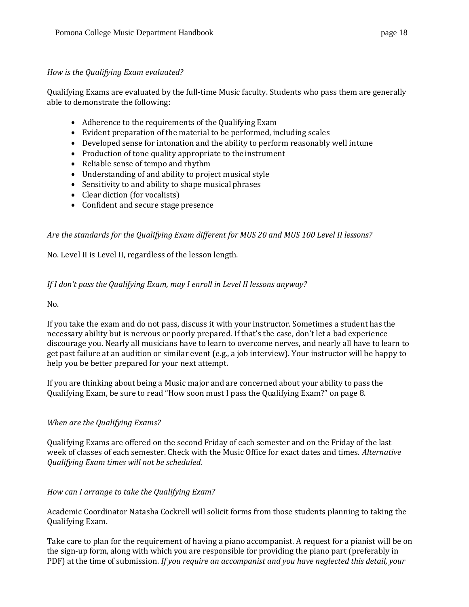#### *How is the Qualifying Exam evaluated?*

Qualifying Exams are evaluated by the full-time Music faculty. Students who pass them are generally able to demonstrate the following:

- Adherence to the requirements of the Qualifying Exam
- Evident preparation of the material to be performed, including scales
- Developed sense for intonation and the ability to perform reasonably well intune
- Production of tone quality appropriate to the instrument
- Reliable sense of tempo and rhythm
- Understanding of and ability to project musical style
- Sensitivity to and ability to shape musical phrases
- Clear diction (for vocalists)
- Confident and secure stage presence

# *Are the standards for the Qualifying Exam different for MUS 20 and MUS 100 Level II lessons?*

No. Level II is Level II, regardless of the lesson length.

## *If I don't pass the Qualifying Exam, may I enroll in Level II lessons anyway?*

No.

If you take the exam and do not pass, discuss it with your instructor. Sometimes a student has the necessary ability but is nervous or poorly prepared. If that's the case, don't let a bad experience discourage you. Nearly all musicians have to learn to overcome nerves, and nearly all have to learn to get past failure at an audition or similar event (e.g., a job interview). Your instructor will be happy to help you be better prepared for your next attempt.

If you are thinking about being a Music major and are concerned about your ability to pass the Qualifying Exam, be sure to read "How soon must I pass the Qualifying Exam?" on page 8.

## *When are the Qualifying Exams?*

Qualifying Exams are offered on the second Friday of each semester and on the Friday of the last week of classes of each semester. Check with the Music Office for exact dates and times. *Alternative Qualifying Exam times will not be scheduled.*

*How can I arrange to take the Qualifying Exam?*

Academic Coordinator Natasha Cockrell will solicit forms from those students planning to taking the Qualifying Exam.

Take care to plan for the requirement of having a piano accompanist. A request for a pianist will be on the sign-up form, along with which you are responsible for providing the piano part (preferably in PDF) at the time of submission. *If you require an accompanist and you have neglected this detail, your*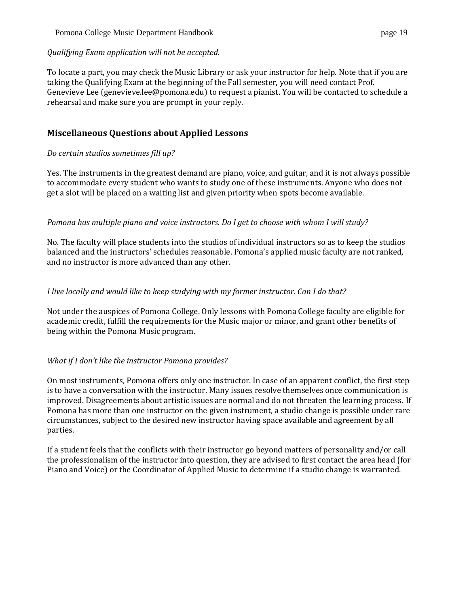#### Pomona College Music Department Handbook page 19

#### *Qualifying Exam application will not be accepted.*

To locate a part, you may check the Music Library or ask your instructor for help. Note that if you are taking the Qualifying Exam at the beginning of the Fall semester, you will need contact Prof. Genevieve Lee [\(genevieve.lee@pomona.edu\)](mailto:genevieve.lee@pomona.edu) to request a pianist. You will be contacted to schedule a rehearsal and make sure you are prompt in your reply.

# <span id="page-19-0"></span>**Miscellaneous Questions about Applied Lessons**

## *Do certain studios sometimes fill up?*

Yes. The instruments in the greatest demand are piano, voice, and guitar, and it is not always possible to accommodate every student who wants to study one of these instruments. Anyone who does not get a slot will be placed on a waiting list and given priority when spots become available.

#### *Pomona has multiple piano and voice instructors. Do I get to choose with whom I will study?*

No. The faculty will place students into the studios of individual instructors so as to keep the studios balanced and the instructors' schedules reasonable. Pomona's applied music faculty are not ranked, and no instructor is more advanced than any other.

## *I live locally and would like to keep studying with my former instructor. Can I do that?*

Not under the auspices of Pomona College. Only lessons with Pomona College faculty are eligible for academic credit, fulfill the requirements for the Music major or minor, and grant other benefits of being within the Pomona Music program.

## *What if I don't like the instructor Pomona provides?*

On most instruments, Pomona offers only one instructor. In case of an apparent conflict, the first step is to have a conversation with the instructor. Many issues resolve themselves once communication is improved. Disagreements about artistic issues are normal and do not threaten the learning process. If Pomona has more than one instructor on the given instrument, a studio change is possible under rare circumstances, subject to the desired new instructor having space available and agreement by all parties.

If a student feels that the conflicts with their instructor go beyond matters of personality and/or call the professionalism of the instructor into question, they are advised to first contact the area head (for Piano and Voice) or the Coordinator of Applied Music to determine if a studio change is warranted.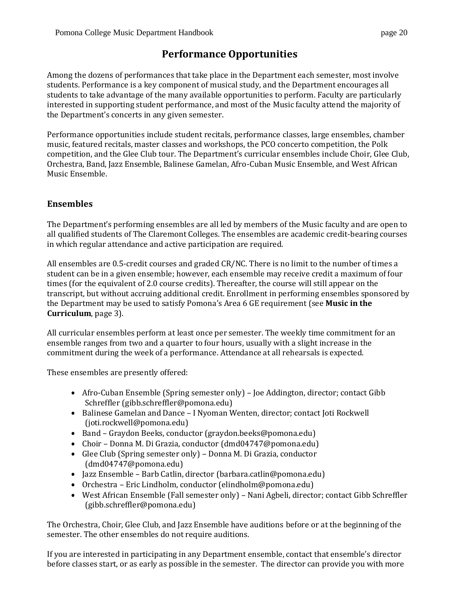# **Performance Opportunities**

<span id="page-20-0"></span>Among the dozens of performances that take place in the Department each semester, most involve students. Performance is a key component of musical study, and the Department encourages all students to take advantage of the many available opportunities to perform. Faculty are particularly interested in supporting student performance, and most of the Music faculty attend the majority of the Department's concerts in any given semester.

Performance opportunities include student recitals, performance classes, large ensembles, chamber music, featured recitals, master classes and workshops, the PCO concerto competition, the Polk competition, and the Glee Club tour. The Department's curricular ensembles include Choir, Glee Club, Orchestra, Band, Jazz Ensemble, Balinese Gamelan, Afro-Cuban Music Ensemble, and West African Music Ensemble.

# <span id="page-20-1"></span>**Ensembles**

The Department's performing ensembles are all led by members of the Music faculty and are open to all qualified students of The Claremont Colleges. The ensembles are academic credit-bearing courses in which regular attendance and active participation are required.

All ensembles are 0.5-credit courses and graded CR/NC. There is no limit to the number of times a student can be in a given ensemble; however, each ensemble may receive credit a maximum of four times (for the equivalent of 2.0 course credits). Thereafter, the course will still appear on the transcript, but without accruing additional credit. Enrollment in performing ensembles sponsored by the Department may be used to satisfy Pomona's Area 6 GE requirement (see **Music in the Curriculum**, page 3).

All curricular ensembles perform at least once per semester. The weekly time commitment for an ensemble ranges from two and a quarter to four hours, usually with a slight increase in the commitment during the week of a performance. Attendance at all rehearsals is expected.

These ensembles are presently offered:

- Afro-Cuban Ensemble (Spring semester only) Joe Addington, director; contact Gibb Schreffler [\(gibb.schreffler@pomona.edu\)](mailto:gibb.schreffler@pomona.edu)
- Balinese [Gamelan](https://www.pomona.edu/academics/departments/music/ensembles/balinese-gamelan) and Dance I Nyoman Wenten, director; contact Joti Rockwell [\(joti.rockwell@pomona.edu\)](mailto:joti.rockwell@pomona.edu)
- [Band](http://band.pomona.edu/) Graydon Beeks, conductor [\(graydon.beeks@pomona.edu\)](mailto:graydon.beeks@pomona.edu)
- [Choir](http://choral.pomona.edu/about-choir/) Donna M. Di Grazia, conductor [\(dmd04747@pomona.edu\)](mailto:dmd04747@pomona.edu)
- [Glee Club](http://choral.pomona.edu/about-glee-club/) (Spring semester only) Donna M. Di Grazia, conductor [\(dmd04747@pomona.edu\)](mailto:dmd04747@pomona.edu)
- [Jazz Ensemble](https://www.pomona.edu/academics/departments/music/ensembles/jazz) Barb Catlin, director [\(barbara.catlin@pomona.edu\)](mailto:barbara.catlin@pomona.edu)
- [Orchestra](http://orchestra.pomona.edu/) Eric Lindholm, conductor [\(elindholm@pomona.edu\)](mailto:elindholm@pomona.edu)
- West African Ensemble (Fall semester only) Nani Agbeli, director; contact Gibb Schreffler [\(gibb.schreffler@pomona.edu\)](mailto:gibb.schreffler@pomona.edu)

The Orchestra, Choir, Glee Club, and Jazz Ensemble have auditions before or at the beginning of the semester. The other ensembles do not require auditions.

If you are interested in participating in any Department ensemble, contact that ensemble's director before classes start, or as early as possible in the semester. The director can provide you with more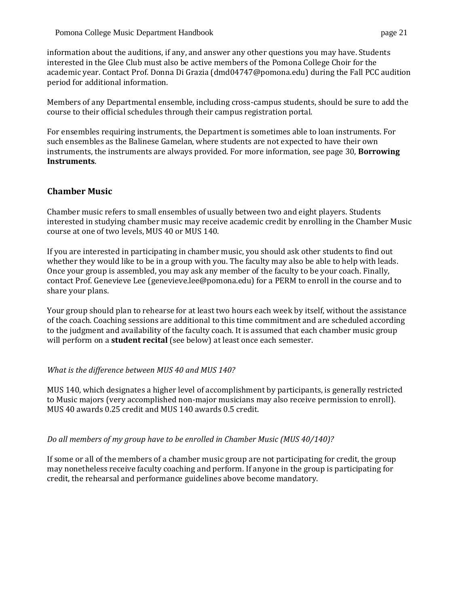information about the auditions, if any, and answer any other questions you may have. Students interested in the Glee Club must also be active members of the Pomona College Choir for the academic year. Contact Prof. Donna Di Grazia [\(dmd04747@pomona.edu\)](mailto:dmd04747@pomona.edu) during the Fall PCC audition period for additional information.

Members of any Departmental ensemble, including cross-campus students, should be sure to add the course to their official schedules through their campus registration portal.

For ensembles requiring instruments, the Department is sometimes able to loan instruments. For such ensembles as the Balinese Gamelan, where students are not expected to have their own instruments, the instruments are always provided. For more information, see page 30, **Borrowing Instruments**.

# <span id="page-21-0"></span>**Chamber Music**

Chamber music refers to small ensembles of usually between two and eight players. Students interested in studying chamber music may receive academic credit by enrolling in the Chamber Music course at one of two levels, MUS 40 or MUS 140.

If you are interested in participating in chamber music, you should ask other students to find out whether they would like to be in a group with you. The faculty may also be able to help with leads. Once your group is assembled, you may ask any member of the faculty to be your coach. Finally, contact Prof. Genevieve Lee [\(genevieve.lee@pomona.edu\)](mailto:genevieve.lee@pomona.edu) for a PERM to enroll in the course and to share your plans.

Your group should plan to rehearse for at least two hours each week by itself, without the assistance of the coach. Coaching sessions are additional to this time commitment and are scheduled according to the judgment and availability of the faculty coach. It is assumed that each chamber music group will perform on a **student recital** (see below) at least once each semester.

## *What is the difference between MUS 40 and MUS 140?*

MUS 140, which designates a higher level of accomplishment by participants, is generally restricted to Music majors (very accomplished non-major musicians may also receive permission to enroll). MUS 40 awards 0.25 credit and MUS 140 awards 0.5 credit.

## *Do all members of my group have to be enrolled in Chamber Music (MUS 40/140)?*

<span id="page-21-1"></span>If some or all of the members of a chamber music group are not participating for credit, the group may nonetheless receive faculty coaching and perform. If anyone in the group is participating for credit, the rehearsal and performance guidelines above become mandatory.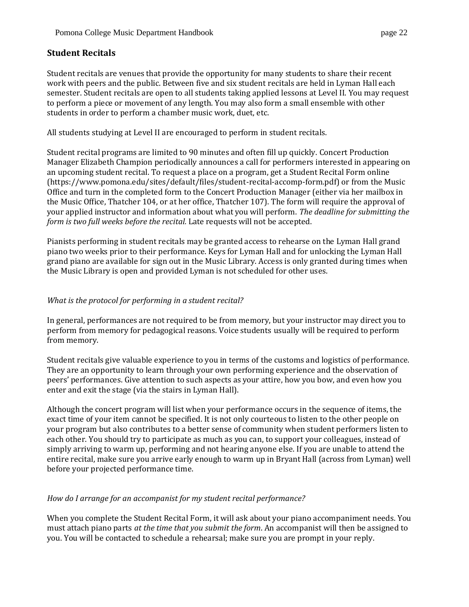# **Student Recitals**

Student recitals are venues that provide the opportunity for many students to share their recent work with peers and the public. Between five and six student recitals are held in Lyman Hall each semester. Student recitals are open to all students taking applied lessons at Level II. You may request to perform a piece or movement of any length. You may also form a small ensemble with other students in order to perform a chamber music work, duet, etc.

All students studying at Level II are encouraged to perform in student recitals.

Student recital programs are limited to 90 minutes and often fill up quickly. Concert Production Manager Elizabeth Champion periodically announces a call for performers interested in appearing on an upcoming student recital. To request a place on a program, get a Student Recital Form online [\(https://www.pomona.edu/sites/default/files/student-recital-accomp-form.pdf\)](https://www.pomona.edu/sites/default/files/student-recital-accomp-form.pdf) or from the Music Office and turn in the completed form to the Concert Production Manager (either via her mailbox in the Music Office, Thatcher 104, or at her office, Thatcher 107). The form will require the approval of your applied instructor and information about what you will perform. *The deadline for submitting the form is two full weeks before the recital.* Late requests will not be accepted.

Pianists performing in student recitals may be granted access to rehearse on the Lyman Hall grand piano two weeks prior to their performance. Keys for Lyman Hall and for unlocking the Lyman Hall grand piano are available for sign out in the Music Library. Access is only granted during times when the Music Library is open and provided Lyman is not scheduled for other uses.

## *What is the protocol for performing in a student recital?*

In general, performances are not required to be from memory, but your instructor may direct you to perform from memory for pedagogical reasons. Voice students usually will be required to perform from memory.

Student recitals give valuable experience to you in terms of the customs and logistics of performance. They are an opportunity to learn through your own performing experience and the observation of peers' performances. Give attention to such aspects as your attire, how you bow, and even how you enter and exit the stage (via the stairs in Lyman Hall).

Although the concert program will list when your performance occurs in the sequence of items, the exact time of your item cannot be specified. It is not only courteous to listen to the other people on your program but also contributes to a better sense of community when student performers listen to each other. You should try to participate as much as you can, to support your colleagues, instead of simply arriving to warm up, performing and not hearing anyone else. If you are unable to attend the entire recital, make sure you arrive early enough to warm up in Bryant Hall (across from Lyman) well before your projected performance time.

## *How do I arrange for an accompanist for my student recital performance?*

When you complete the Student Recital Form, it will ask about your piano accompaniment needs. You must attach piano parts *at the time that you submit the form*. An accompanist will then be assigned to you. You will be contacted to schedule a rehearsal; make sure you are prompt in your reply.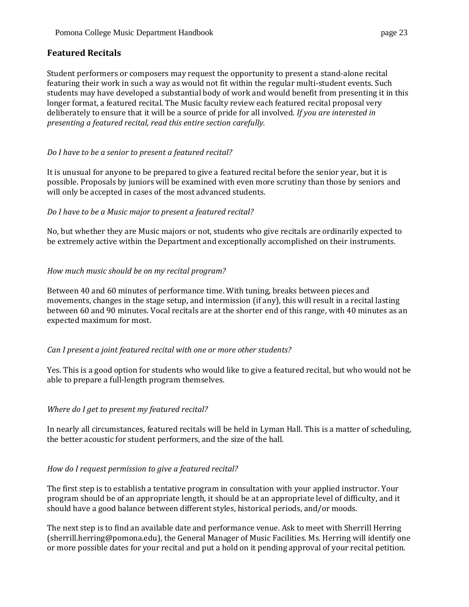# <span id="page-23-0"></span>**Featured Recitals**

Student performers or composers may request the opportunity to present a stand-alone recital featuring their work in such a way as would not fit within the regular multi-student events. Such students may have developed a substantial body of work and would benefit from presenting it in this longer format, a featured recital. The Music faculty review each featured recital proposal very deliberately to ensure that it will be a source of pride for all involved. *If you are interested in presenting a featured recital, read this entire section carefully.*

# *Do I have to be a senior to present a featured recital?*

It is unusual for anyone to be prepared to give a featured recital before the senior year, but it is possible. Proposals by juniors will be examined with even more scrutiny than those by seniors and will only be accepted in cases of the most advanced students.

## *Do I have to be a Music major to present a featured recital?*

No, but whether they are Music majors or not, students who give recitals are ordinarily expected to be extremely active within the Department and exceptionally accomplished on their instruments.

# *How much music should be on my recital program?*

Between 40 and 60 minutes of performance time. With tuning, breaks between pieces and movements, changes in the stage setup, and intermission (if any), this will result in a recital lasting between 60 and 90 minutes. Vocal recitals are at the shorter end of this range, with 40 minutes as an expected maximum for most.

## *Can I present a joint featured recital with one or more other students?*

Yes. This is a good option for students who would like to give a featured recital, but who would not be able to prepare a full-length program themselves.

## *Where do I get to present my featured recital?*

In nearly all circumstances, featured recitals will be held in Lyman Hall. This is a matter of scheduling, the better acoustic for student performers, and the size of the hall.

## *How do I request permission to give a featured recital?*

The first step is to establish a tentative program in consultation with your applied instructor. Your program should be of an appropriate length, it should be at an appropriate level of difficulty, and it should have a good balance between different styles, historical periods, and/or moods.

The next step is to find an available date and performance venue. Ask to meet with Sherrill Herring [\(sherrill.herring@pomona.edu\)](mailto:sherrill.herring@pomona.edu), the General Manager of Music Facilities. Ms. Herring will identify one or more possible dates for your recital and put a hold on it pending approval of your recital petition.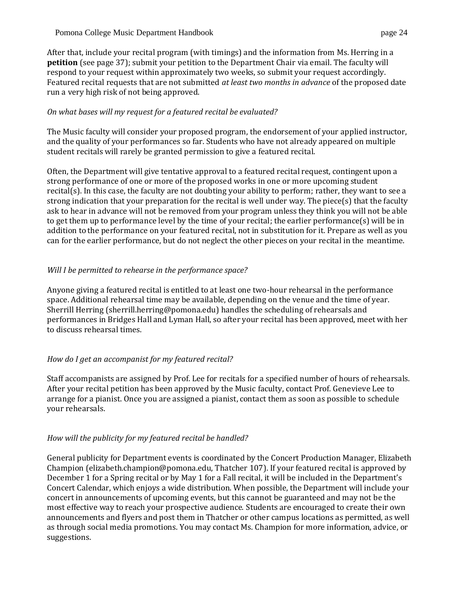After that, include your recital program (with timings) and the information from Ms. Herring in a **petition** (see page 37); submit your petition to the Department Chair via email. The faculty will respond to your request within approximately two weeks, so submit your request accordingly. Featured recital requests that are not submitted *at least two months in advance* of the proposed date run a very high risk of not being approved.

## *On what bases will my request for a featured recital be evaluated?*

The Music faculty will consider your proposed program, the endorsement of your applied instructor, and the quality of your performances so far. Students who have not already appeared on multiple student recitals will rarely be granted permission to give a featured recital.

Often, the Department will give tentative approval to a featured recital request, contingent upon a strong performance of one or more of the proposed works in one or more upcoming student recital(s). In this case, the faculty are not doubting your ability to perform; rather, they want to see a strong indication that your preparation for the recital is well under way. The piece(s) that the faculty ask to hear in advance will not be removed from your program unless they think you will not be able to get them up to performance level by the time of your recital; the earlier performance(s) will be in addition to the performance on your featured recital, not in substitution for it. Prepare as well as you can for the earlier performance, but do not neglect the other pieces on your recital in the meantime.

# *Will I be permitted to rehearse in the performance space?*

Anyone giving a featured recital is entitled to at least one two-hour rehearsal in the performance space. Additional rehearsal time may be available, depending on the venue and the time of year. Sherrill Herring [\(sherrill.herring@pomona.edu\)](mailto:sherrill.herring@pomona.edu) handles the scheduling of rehearsals and performances in Bridges Hall and Lyman Hall, so after your recital has been approved, meet with her to discuss rehearsal times.

## *How do I get an accompanist for my featured recital?*

Staff accompanists are assigned by Prof. Lee for recitals for a specified number of hours of rehearsals. After your recital petition has been approved by the Music faculty, contact Prof. Genevieve Lee to arrange for a pianist. Once you are assigned a pianist, contact them as soon as possible to schedule your rehearsals.

# *How will the publicity for my featured recital be handled?*

General publicity for Department events is coordinated by the Concert Production Manager, Elizabeth Champion [\(elizabeth.champion@pomona.edu, T](mailto:(elizabeth.champion@pomona.edu)hatcher 107). If your featured recital is approved by December 1 for a Spring recital or by May 1 for a Fall recital, it will be included in the Department's Concert Calendar, which enjoys a wide distribution. When possible, the Department will include your concert in announcements of upcoming events, but this cannot be guaranteed and may not be the most effective way to reach your prospective audience. Students are encouraged to create their own announcements and flyers and post them in Thatcher or other campus locations as permitted, as well as through social media promotions. You may contact Ms. Champion for more information, advice, or suggestions.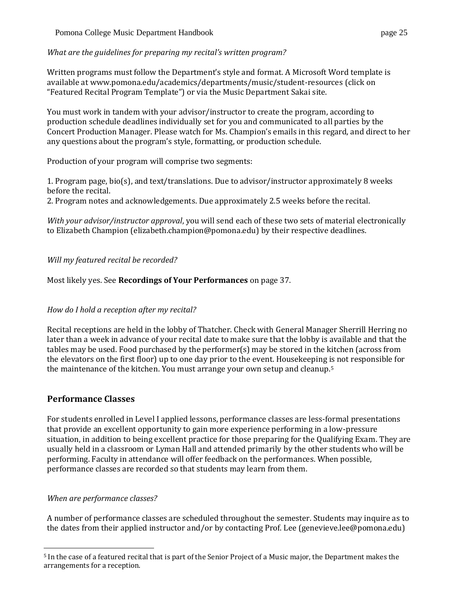*What are the guidelines for preparing my recital's written program?*

Written programs must follow the Department's style and format. A Microsoft Word template is available a[t www.pomona.edu/academics/departments/music/student-resources](https://www.pomona.edu/academics/departments/music/student-resources) (click on "Featured Recital Program Template") or via the Music Department Sakai site.

You must work in tandem with your advisor/instructor to create the program, according to production schedule deadlines individually set for you and communicated to all parties by the Concert Production Manager. Please watch for Ms. Champion's emails in this regard, and direct to her any questions about the program's style, formatting, or production schedule.

Production of your program will comprise two segments:

1. Program page, bio(s), and text/translations. Due to advisor/instructor approximately 8 weeks before the recital.

2. Program notes and acknowledgements. Due approximately 2.5 weeks before the recital.

*With your advisor/instructor approval*, you will send each of these two sets of material electronically to Elizabeth Champion [\(elizabeth.champion@pomona.edu\)](mailto:elizabeth.champion@pomona.edu) by their respective deadlines.

*Will my featured recital be recorded?*

Most likely yes. See **Recordings of Your Performances** on page 37.

# *How do I hold a reception after my recital?*

Recital receptions are held in the lobby of Thatcher. Check with General Manager Sherrill Herring no later than a week in advance of your recital date to make sure that the lobby is available and that the tables may be used. Food purchased by the performer(s) may be stored in the kitchen (across from the elevators on the first floor) up to one day prior to the event. Housekeeping is not responsible for the maintenance of the kitchen. You must arrange your own setup and cleanup.<sup>5</sup>

# <span id="page-25-0"></span>**Performance Classes**

For students enrolled in Level I applied lessons, performance classes are less-formal presentations that provide an excellent opportunity to gain more experience performing in a low-pressure situation, in addition to being excellent practice for those preparing for the Qualifying Exam. They are usually held in a classroom or Lyman Hall and attended primarily by the other students who will be performing. Faculty in attendance will offer feedback on the performances. When possible, performance classes are recorded so that students may learn from them.

# *When are performance classes?*

A number of performance classes are scheduled throughout the semester. Students may inquire as to the dates from their applied instructor and/or by contacting Prof. Lee [\(genevieve.lee@pomona.edu\)](mailto:genevieve.lee@pomona.edu)

<sup>5</sup> In the case of a featured recital that is part of the Senior Project of a Music major, the Department makes the arrangements for a reception.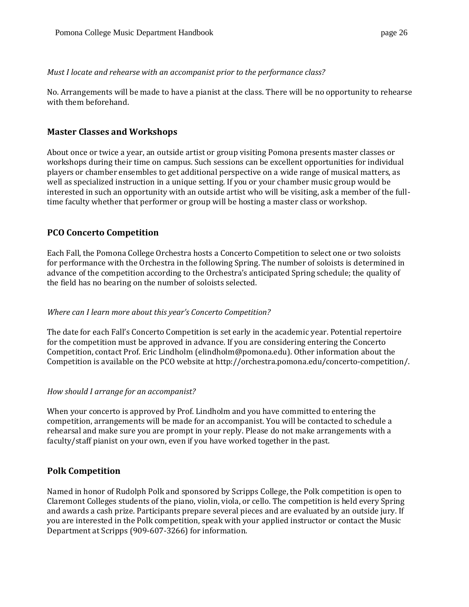#### *Must I locate and rehearse with an accompanist prior to the performance class?*

No. Arrangements will be made to have a pianist at the class. There will be no opportunity to rehearse with them beforehand.

# <span id="page-26-0"></span>**Master Classes and Workshops**

About once or twice a year, an outside artist or group visiting Pomona presents master classes or workshops during their time on campus. Such sessions can be excellent opportunities for individual players or chamber ensembles to get additional perspective on a wide range of musical matters, as well as specialized instruction in a unique setting. If you or your chamber music group would be interested in such an opportunity with an outside artist who will be visiting, ask a member of the fulltime faculty whether that performer or group will be hosting a master class or workshop.

# <span id="page-26-1"></span>**PCO Concerto Competition**

Each Fall, the Pomona College Orchestra hosts a Concerto Competition to select one or two soloists for performance with the Orchestra in the following Spring. The number of soloists is determined in advance of the competition according to the Orchestra's anticipated Spring schedule; the quality of the field has no bearing on the number of soloists selected.

## *Where can I learn more about this year's Concerto Competition?*

The date for each Fall's Concerto Competition is set early in the academic year. Potential repertoire for the competition must be approved in advance. If you are considering entering the Concerto Competition, contact Prof. Eric Lindholm [\(elindholm@pomona.edu\)](mailto:elindholm@pomona.edu). Other information about the Competition is available on the PCO website a[t http://orchestra.pomona.edu/concerto-competition/.](http://orchestra.pomona.edu/concerto-competition/)

## *How should I arrange for an accompanist?*

When your concerto is approved by Prof. Lindholm and you have committed to entering the competition, arrangements will be made for an accompanist. You will be contacted to schedule a rehearsal and make sure you are prompt in your reply. Please do not make arrangements with a faculty/staff pianist on your own, even if you have worked together in the past.

# <span id="page-26-2"></span>**Polk Competition**

Named in honor of Rudolph Polk and sponsored by Scripps College, the Polk competition is open to Claremont Colleges students of the piano, violin, viola, or cello. The competition is held every Spring and awards a cash prize. Participants prepare several pieces and are evaluated by an outside jury. If you are interested in the Polk competition, speak with your applied instructor or contact the Music Department at Scripps (909-607-3266) for information.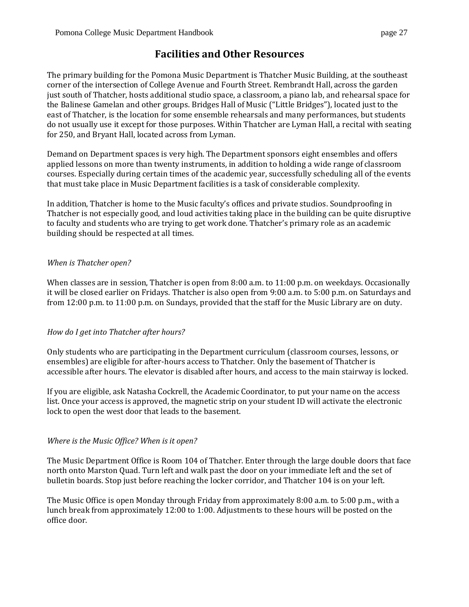<span id="page-27-0"></span>The primary building for the Pomona Music Department is Thatcher Music Building, at the southeast corner of the intersection of College Avenue and Fourth Street. Rembrandt Hall, across the garden just south of Thatcher, hosts additional studio space, a classroom, a piano lab, and rehearsal space for the Balinese Gamelan and other groups. Bridges Hall of Music ("Little Bridges"), located just to the east of Thatcher, is the location for some ensemble rehearsals and many performances, but students do not usually use it except for those purposes. Within Thatcher are Lyman Hall, a recital with seating for 250, and Bryant Hall, located across from Lyman.

Demand on Department spaces is very high. The Department sponsors eight ensembles and offers applied lessons on more than twenty instruments, in addition to holding a wide range of classroom courses. Especially during certain times of the academic year, successfully scheduling all of the events that must take place in Music Department facilities is a task of considerable complexity.

In addition, Thatcher is home to the Music faculty's offices and private studios. Soundproofing in Thatcher is not especially good, and loud activities taking place in the building can be quite disruptive to faculty and students who are trying to get work done. Thatcher's primary role as an academic building should be respected at all times.

# *When is Thatcher open?*

When classes are in session, Thatcher is open from 8:00 a.m. to 11:00 p.m. on weekdays. Occasionally it will be closed earlier on Fridays. Thatcher is also open from 9:00 a.m. to 5:00 p.m. on Saturdays and from 12:00 p.m. to 11:00 p.m. on Sundays, provided that the staff for the Music Library are on duty.

## *How do I get into Thatcher after hours?*

Only students who are participating in the Department curriculum (classroom courses, lessons, or ensembles) are eligible for after-hours access to Thatcher. Only the basement of Thatcher is accessible after hours. The elevator is disabled after hours, and access to the main stairway is locked.

If you are eligible, ask Natasha Cockrell, the Academic Coordinator, to put your name on the access list. Once your access is approved, the magnetic strip on your student ID will activate the electronic lock to open the west door that leads to the basement.

## *Where is the Music Office? When is it open?*

The Music Department Office is Room 104 of Thatcher. Enter through the large double doors that face north onto Marston Quad. Turn left and walk past the door on your immediate left and the set of bulletin boards. Stop just before reaching the locker corridor, and Thatcher 104 is on your left.

The Music Office is open Monday through Friday from approximately 8:00 a.m. to 5:00 p.m., with a lunch break from approximately 12:00 to 1:00. Adjustments to these hours will be posted on the office door.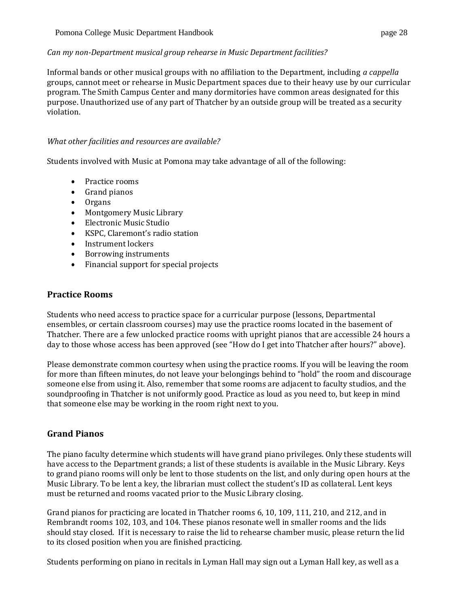# *Can my non-Department musical group rehearse in Music Department facilities?*

Informal bands or other musical groups with no affiliation to the Department, including *a cappella* groups, cannot meet or rehearse in Music Department spaces due to their heavy use by our curricular program. The Smith Campus Center and many dormitories have common areas designated for this purpose. Unauthorized use of any part of Thatcher by an outside group will be treated as a security violation.

## *What other facilities and resources are available?*

Students involved with Music at Pomona may take advantage of all of the following:

- Practice rooms
- Grand pianos
- Organs
- Montgomery Music Library
- Electronic Music Studio
- KSPC, Claremont's radio station
- Instrument lockers
- Borrowing instruments
- Financial support for special projects

# <span id="page-28-0"></span>**Practice Rooms**

Students who need access to practice space for a curricular purpose (lessons, Departmental ensembles, or certain classroom courses) may use the practice rooms located in the basement of Thatcher. There are a few unlocked practice rooms with upright pianos that are accessible 24 hours a day to those whose access has been approved (see "How do I get into Thatcher after hours?" above).

Please demonstrate common courtesy when using the practice rooms. If you will be leaving the room for more than fifteen minutes, do not leave your belongings behind to "hold" the room and discourage someone else from using it. Also, remember that some rooms are adjacent to faculty studios, and the soundproofing in Thatcher is not uniformly good. Practice as loud as you need to, but keep in mind that someone else may be working in the room right next to you.

# <span id="page-28-1"></span>**Grand Pianos**

The piano faculty determine which students will have grand piano privileges. Only these students will have access to the Department grands; a list of these students is available in the Music Library. Keys to grand piano rooms will only be lent to those students on the list, and only during open hours at the Music Library. To be lent a key, the librarian must collect the student's ID as collateral. Lent keys must be returned and rooms vacated prior to the Music Library closing.

Grand pianos for practicing are located in Thatcher rooms 6, 10, 109, 111, 210, and 212, and in Rembrandt rooms 102, 103, and 104. These pianos resonate well in smaller rooms and the lids should stay closed. If it is necessary to raise the lid to rehearse chamber music, please return the lid to its closed position when you are finished practicing.

Students performing on piano in recitals in Lyman Hall may sign out a Lyman Hall key, as well as a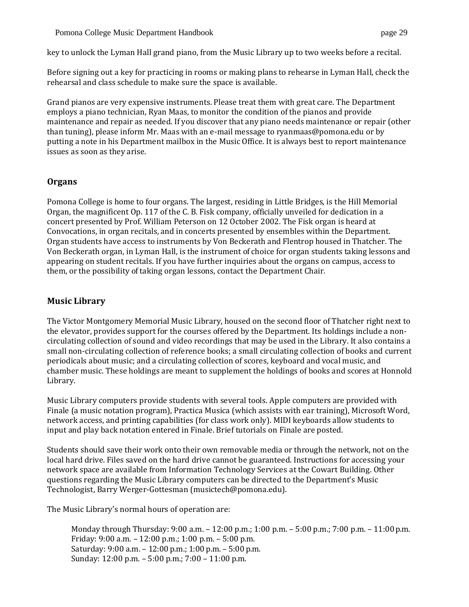key to unlock the Lyman Hall grand piano, from the Music Library up to two weeks before a recital.

Before signing out a key for practicing in rooms or making plans to rehearse in Lyman Hall, check the rehearsal and class schedule to make sure the space is available.

Grand pianos are very expensive instruments. Please treat them with great care. The Department employs a piano technician, Ryan Maas, to monitor the condition of the pianos and provide maintenance and repair as needed. If you discover that any piano needs maintenance or repair (other than tuning), please inform Mr. Maas with an e-mail message to [ryanmaas@pomona.edu](mailto:ryanmaas@pomona.edu) or by putting a note in his Department mailbox in the Music Office. It is always best to report maintenance issues as soon as they arise.

# <span id="page-29-0"></span>**Organs**

Pomona College is home to four organs. The largest, residing in Little Bridges, is the Hill Memorial Organ, the magnificent Op. 117 of the C. B. Fisk company, officially unveiled for dedication in a concert presented by Prof. William Peterson on 12 October 2002. The Fisk organ is heard at Convocations, in organ recitals, and in concerts presented by ensembles within the Department. Organ students have access to instruments by Von Beckerath and Flentrop housed in Thatcher. The Von Beckerath organ, in Lyman Hall, is the instrument of choice for organ students taking lessons and appearing on student recitals. If you have further inquiries about the organs on campus, access to them, or the possibility of taking organ lessons, contact the Department Chair.

# <span id="page-29-1"></span>**Music Library**

The Victor Montgomery Memorial Music Library, housed on the second floor of Thatcher right next to the elevator, provides support for the courses offered by the Department. Its holdings include a noncirculating collection of sound and video recordings that may be used in the Library. It also contains a small non-circulating collection of reference books; a small circulating collection of books and current periodicals about music; and a circulating collection of scores, keyboard and vocal music, and chamber music. These holdings are meant to supplement the holdings of books and scores at Honnold Library.

Music Library computers provide students with several tools. Apple computers are provided with Finale (a music notation program), Practica Musica (which assists with ear training), Microsoft Word, network access, and printing capabilities (for class work only). MIDI keyboards allow students to input and play back notation entered in Finale. Brief tutorials on Finale are posted.

Students should save their work onto their own removable media or through the network, not on the local hard drive. Files saved on the hard drive cannot be guaranteed. Instructions for accessing your network space are available from Information Technology Services at the Cowart Building. Other questions regarding the Music Library computers can be directed to the Department's Music Technologist, Barry Werger-Gottesman [\(musictech@pomona.edu\)](mailto:musictech@pomona.edu).

The Music Library's normal hours of operation are:

Monday through Thursday: 9:00 a.m. – 12:00 p.m.; 1:00 p.m. – 5:00 p.m.; 7:00 p.m. – 11:00p.m. Friday: 9:00 a.m. – 12:00 p.m.; 1:00 p.m. – 5:00 p.m. Saturday: 9:00 a.m. – 12:00 p.m.; 1:00 p.m. – 5:00 p.m. Sunday: 12:00 p.m. – 5:00 p.m.; 7:00 – 11:00 p.m.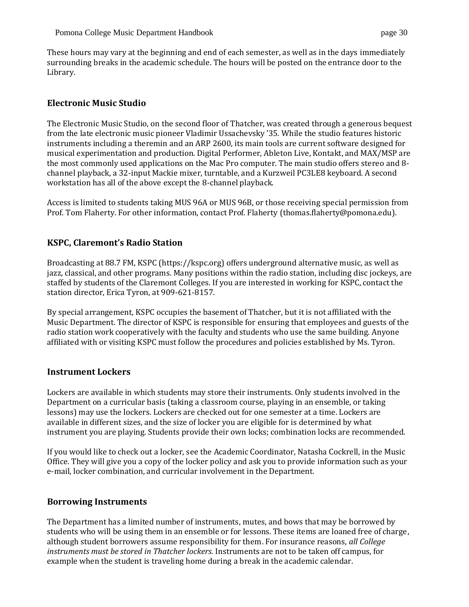These hours may vary at the beginning and end of each semester, as well as in the days immediately surrounding breaks in the academic schedule. The hours will be posted on the entrance door to the Library.

# <span id="page-30-0"></span>**Electronic Music Studio**

The Electronic Music Studio, on the second floor of Thatcher, was created through a generous bequest from the late electronic music pioneer Vladimir Ussachevsky '35. While the studio features historic instruments including a theremin and an ARP 2600, its main tools are current software designed for musical experimentation and production. Digital Performer, Ableton Live, Kontakt, and MAX/MSP are the most commonly used applications on the Mac Pro computer. The main studio offers stereo and 8 channel playback, a 32-input Mackie mixer, turntable, and a Kurzweil PC3LE8 keyboard. A second workstation has all of the above except the 8-channel playback.

Access is limited to students taking MUS 96A or MUS 96B, or those receiving special permission from Prof. Tom Flaherty. For other information, contact Prof. Flaherty [\(thomas.flaherty@pomona.edu\)](mailto:thomas.flaherty@pomona.edu).

# <span id="page-30-1"></span>**KSPC, Claremont's Radio Station**

Broadcasting at 88.7 FM, KSPC [\(https://kspc.org\)](https://kspc.org/) offers underground alternative music, as well as jazz, classical, and other programs. Many positions within the radio station, including disc jockeys, are staffed by students of the Claremont Colleges. If you are interested in working for KSPC, contact the station director, Erica Tyron, at 909-621-8157.

By special arrangement, KSPC occupies the basement of Thatcher, but it is not affiliated with the Music Department. The director of KSPC is responsible for ensuring that employees and guests of the radio station work cooperatively with the faculty and students who use the same building. Anyone affiliated with or visiting KSPC must follow the procedures and policies established by Ms. Tyron.

## <span id="page-30-2"></span>**Instrument Lockers**

Lockers are available in which students may store their instruments. Only students involved in the Department on a curricular basis (taking a classroom course, playing in an ensemble, or taking lessons) may use the lockers. Lockers are checked out for one semester at a time. Lockers are available in different sizes, and the size of locker you are eligible for is determined by what instrument you are playing. Students provide their own locks; combination locks are recommended.

If you would like to check out a locker, see the Academic Coordinator, Natasha Cockrell, in the Music Office. They will give you a copy of the locker policy and ask you to provide information such as your e-mail, locker combination, and curricular involvement in the Department.

## <span id="page-30-3"></span>**Borrowing Instruments**

The Department has a limited number of instruments, mutes, and bows that may be borrowed by students who will be using them in an ensemble or for lessons. These items are loaned free of charge, although student borrowers assume responsibility for them. For insurance reasons, *all College instruments must be stored in Thatcher lockers.* Instruments are not to be taken off campus, for example when the student is traveling home during a break in the academic calendar.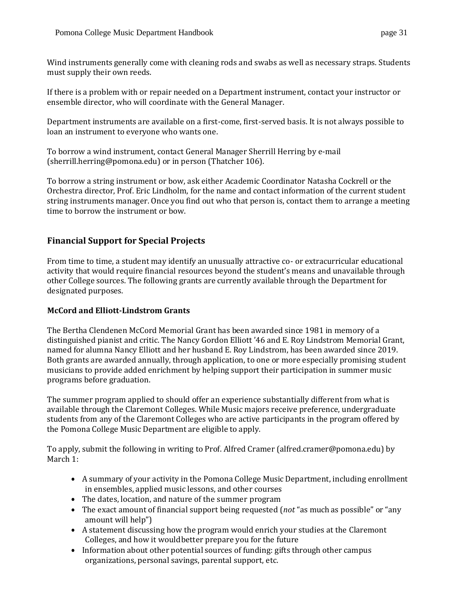Wind instruments generally come with cleaning rods and swabs as well as necessary straps. Students must supply their own reeds.

If there is a problem with or repair needed on a Department instrument, contact your instructor or ensemble director, who will coordinate with the General Manager.

Department instruments are available on a first-come, first-served basis. It is not always possible to loan an instrument to everyone who wants one.

To borrow a wind instrument, contact General Manager Sherrill Herring by e-mail [\(sherrill.herring@pomona.edu\)](mailto:sherrill.herring@pomona.edu) or in person (Thatcher 106).

To borrow a string instrument or bow, ask either Academic Coordinator Natasha Cockrell or the Orchestra director, Prof. Eric Lindholm, for the name and contact information of the current student string instruments manager. Once you find out who that person is, contact them to arrange a meeting time to borrow the instrument or bow.

# <span id="page-31-0"></span>**Financial Support for Special Projects**

From time to time, a student may identify an unusually attractive co- or extracurricular educational activity that would require financial resources beyond the student's means and unavailable through other College sources. The following grants are currently available through the Department for designated purposes.

## <span id="page-31-1"></span>**McCord and Elliott-Lindstrom Grants**

The Bertha Clendenen McCord Memorial Grant has been awarded since 1981 in memory of a distinguished pianist and critic. The Nancy Gordon Elliott '46 and E. Roy Lindstrom Memorial Grant, named for alumna Nancy Elliott and her husband E. Roy Lindstrom, has been awarded since 2019. Both grants are awarded annually, through application, to one or more especially promising student musicians to provide added enrichment by helping support their participation in summer music programs before graduation.

The summer program applied to should offer an experience substantially different from what is available through the Claremont Colleges. While Music majors receive preference, undergraduate students from any of the Claremont Colleges who are active participants in the program offered by the Pomona College Music Department are eligible to apply.

To apply, submit the following in writing to Prof. Alfred Cramer [\(alfred.cramer@pomona.edu\)](mailto:alfred.cramer@pomona.edu) by March 1:

- A summary of your activity in the Pomona College Music Department, including enrollment in ensembles, applied music lessons, and other courses
- The dates, location, and nature of the summer program
- The exact amount of financial support being requested (*not* "as much as possible" or "any amount will help")
- A statement discussing how the program would enrich your studies at the Claremont Colleges, and how it wouldbetter prepare you for the future
- Information about other potential sources of funding: gifts through other campus organizations, personal savings, parental support, etc.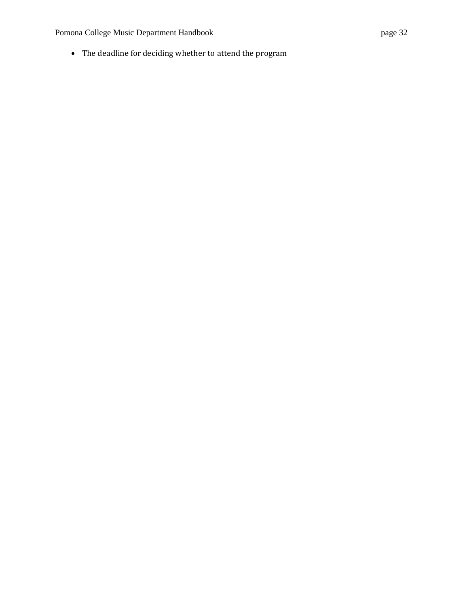Pomona College Music Department Handbook page 32

• The deadline for deciding whether to attend the program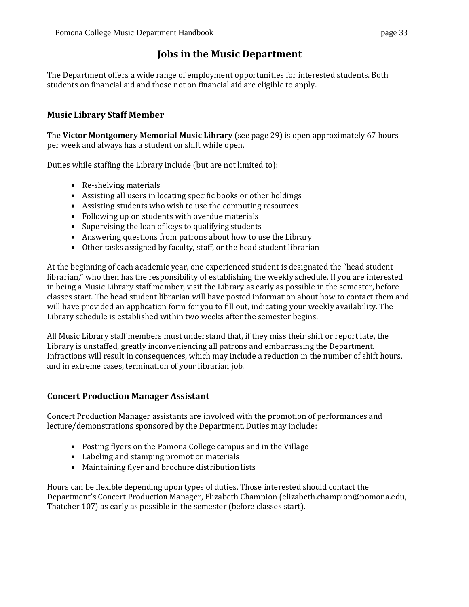# **Jobs in the Music Department**

<span id="page-33-0"></span>The Department offers a wide range of employment opportunities for interested students. Both students on financial aid and those not on financial aid are eligible to apply.

# <span id="page-33-1"></span>**Music Library Staff Member**

The **Victor Montgomery Memorial Music Library** (see page 29) is open approximately 67 hours per week and always has a student on shift while open.

Duties while staffing the Library include (but are not limited to):

- Re-shelving materials
- Assisting all users in locating specific books or other holdings
- Assisting students who wish to use the computing resources
- Following up on students with overdue materials
- Supervising the loan of keys to qualifying students
- Answering questions from patrons about how to use the Library
- Other tasks assigned by faculty, staff, or the head student librarian

At the beginning of each academic year, one experienced student is designated the "head student librarian," who then has the responsibility of establishing the weekly schedule. If you are interested in being a Music Library staff member, visit the Library as early as possible in the semester, before classes start. The head student librarian will have posted information about how to contact them and will have provided an application form for you to fill out, indicating your weekly availability. The Library schedule is established within two weeks after the semester begins.

All Music Library staff members must understand that, if they miss their shift or report late, the Library is unstaffed, greatly inconveniencing all patrons and embarrassing the Department. Infractions will result in consequences, which may include a reduction in the number of shift hours, and in extreme cases, termination of your librarian job.

# <span id="page-33-2"></span>**Concert Production Manager Assistant**

Concert Production Manager assistants are involved with the promotion of performances and lecture/demonstrations sponsored by the Department. Duties may include:

- Posting flyers on the Pomona College campus and in the Village
- Labeling and stamping promotion materials
- Maintaining flyer and brochure distribution lists

<span id="page-33-3"></span>Hours can be flexible depending upon types of duties. Those interested should contact the Department's Concert Production Manager, Elizabeth Champion [\(elizabeth.champion@pomona.edu,](mailto:elizabeth.champion@pomona.edu)  Thatcher 107) as early as possible in the semester (before classes start).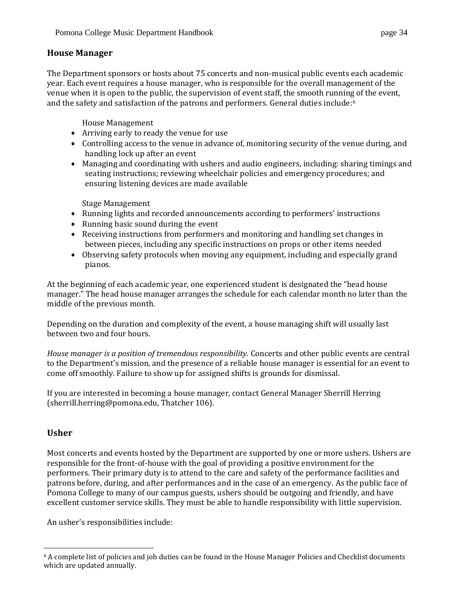The Department sponsors or hosts about 75 concerts and non-musical public events each academic year. Each event requires a house manager, who is responsible for the overall management of the venue when it is open to the public, the supervision of event staff, the smooth running of the event, and the safety and satisfaction of the patrons and performers. General duties include:<sup>6</sup>

House Management

- Arriving early to ready the venue for use
- Controlling access to the venue in advance of, monitoring security of the venue during, and handling lock up after an event
- Managing and coordinating with ushers and audio engineers, including: sharing timings and seating instructions; reviewing wheelchair policies and emergency procedures; and ensuring listening devices are made available

Stage Management

- Running lights and recorded announcements according to performers' instructions
- Running basic sound during the event
- Receiving instructions from performers and monitoring and handling set changes in between pieces, including any specific instructions on props or other items needed
- Observing safety protocols when moving any equipment, including and especially grand pianos.

At the beginning of each academic year, one experienced student is designated the "head house manager." The head house manager arranges the schedule for each calendar month no later than the middle of the previous month.

Depending on the duration and complexity of the event, a house managing shift will usually last between two and four hours.

*House manager is a position of tremendous responsibility.* Concerts and other public events are central to the Department's mission, and the presence of a reliable house manager is essential for an event to come off smoothly. Failure to show up for assigned shifts is grounds for dismissal.

If you are interested in becoming a house manager, contact General Manager Sherrill Herring [\(sherrill.herring@pomona.edu,](mailto:sherrill.herring@pomona.edu) Thatcher 106).

# <span id="page-34-0"></span>**Usher**

Most concerts and events hosted by the Department are supported by one or more ushers. Ushers are responsible for the front-of-house with the goal of providing a positive environment for the performers. Their primary duty is to attend to the care and safety of the performance facilities and patrons before, during, and after performances and in the case of an emergency. As the public face of Pomona College to many of our campus guests, ushers should be outgoing and friendly, and have excellent customer service skills. They must be able to handle responsibility with little supervision.

An usher's responsibilities include:

 $6$  A complete list of policies and job duties can be found in the House Manager Policies and Checklist documents which are updated annually.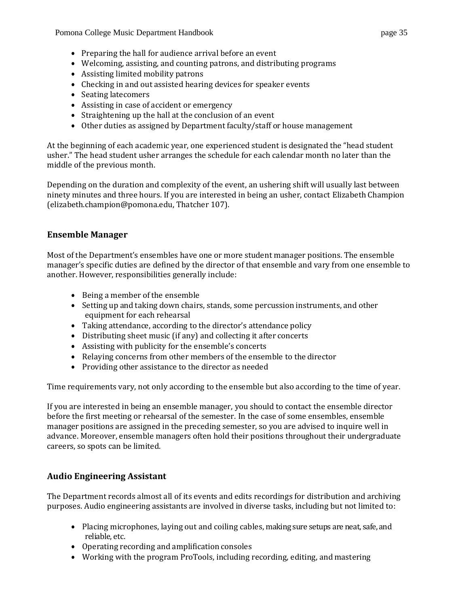Pomona College Music Department Handbook page 35

- Welcoming, assisting, and counting patrons, and distributing programs
- Assisting limited mobility patrons
- Checking in and out assisted hearing devices for speaker events
- Seating latecomers
- Assisting in case of accident or emergency
- Straightening up the hall at the conclusion of an event
- Other duties as assigned by Department faculty/staff or house management

At the beginning of each academic year, one experienced student is designated the "head student usher." The head student usher arranges the schedule for each calendar month no later than the middle of the previous month.

Depending on the duration and complexity of the event, an ushering shift will usually last between ninety minutes and three hours. If you are interested in being an usher, contact Elizabeth Champion [\(elizabeth.champion@pomona.edu,](mailto:elizabeth.champion@pomona.edu) Thatcher 107).

# <span id="page-35-0"></span>**Ensemble Manager**

Most of the Department's ensembles have one or more student manager positions. The ensemble manager's specific duties are defined by the director of that ensemble and vary from one ensemble to another. However, responsibilities generally include:

- Being a member of the ensemble
- Setting up and taking down chairs, stands, some percussion instruments, and other equipment for each rehearsal
- Taking attendance, according to the director's attendance policy
- Distributing sheet music (if any) and collecting it after concerts
- Assisting with publicity for the ensemble's concerts
- Relaying concerns from other members of the ensemble to the director
- Providing other assistance to the director as needed

Time requirements vary, not only according to the ensemble but also according to the time of year.

If you are interested in being an ensemble manager, you should to contact the ensemble director before the first meeting or rehearsal of the semester. In the case of some ensembles, ensemble manager positions are assigned in the preceding semester, so you are advised to inquire well in advance. Moreover, ensemble managers often hold their positions throughout their undergraduate careers, so spots can be limited.

# <span id="page-35-1"></span>**Audio Engineering Assistant**

The Department records almost all of its events and edits recordings for distribution and archiving purposes. Audio engineering assistants are involved in diverse tasks, including but not limited to:

- Placing microphones, laying out and coiling cables, making sure setups are neat, safe, and reliable, etc.
- Operating recording and amplification consoles
- Working with the program ProTools, including recording, editing, and mastering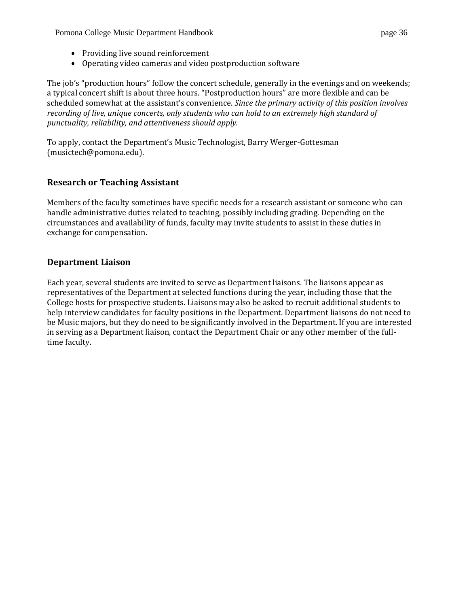Pomona College Music Department Handbook page 36

- Providing live sound reinforcement
- Operating video cameras and video postproduction software

The job's "production hours" follow the concert schedule, generally in the evenings and on weekends; a typical concert shift is about three hours. "Postproduction hours" are more flexible and can be scheduled somewhat at the assistant's convenience. *Since the primary activity of this position involves recording of live, unique concerts, only students who can hold to an extremely high standard of punctuality, reliability, and attentiveness should apply.*

To apply, contact the Department's Music Technologist, Barry Werger-Gottesman [\(musictech@pomona.edu\).](mailto:musictech@pomona.edu).)

# <span id="page-36-0"></span>**Research or Teaching Assistant**

Members of the faculty sometimes have specific needs for a research assistant or someone who can handle administrative duties related to teaching, possibly including grading. Depending on the circumstances and availability of funds, faculty may invite students to assist in these duties in exchange for compensation.

# <span id="page-36-1"></span>**Department Liaison**

Each year, several students are invited to serve as Department liaisons. The liaisons appear as representatives of the Department at selected functions during the year, including those that the College hosts for prospective students. Liaisons may also be asked to recruit additional students to help interview candidates for faculty positions in the Department. Department liaisons do not need to be Music majors, but they do need to be significantly involved in the Department. If you are interested in serving as a Department liaison, contact the Department Chair or any other member of the fulltime faculty.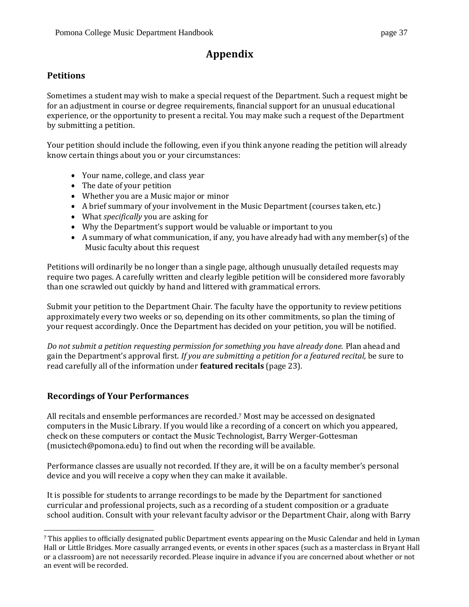# **Appendix**

# <span id="page-37-1"></span><span id="page-37-0"></span>**Petitions**

Sometimes a student may wish to make a special request of the Department. Such a request might be for an adjustment in course or degree requirements, financial support for an unusual educational experience, or the opportunity to present a recital. You may make such a request of the Department by submitting a petition.

Your petition should include the following, even if you think anyone reading the petition will already know certain things about you or your circumstances:

- Your name, college, and class year
- The date of your petition
- Whether you are a Music major or minor
- A brief summary of your involvement in the Music Department (courses taken, etc.)
- What *specifically* you are asking for
- Why the Department's support would be valuable or important to you
- A summary of what communication, if any, you have already had with any member(s) ofthe Music faculty about this request

Petitions will ordinarily be no longer than a single page, although unusually detailed requests may require two pages. A carefully written and clearly legible petition will be considered more favorably than one scrawled out quickly by hand and littered with grammatical errors.

Submit your petition to the Department Chair. The faculty have the opportunity to review petitions approximately every two weeks or so, depending on its other commitments, so plan the timing of your request accordingly. Once the Department has decided on your petition, you will be notified.

*Do not submit a petition requesting permission for something you have already done.* Plan ahead and gain the Department's approval first. *If you are submitting a petition for a featured recital,* be sure to read carefully all of the information under **featured recitals** (page 23).

# <span id="page-37-2"></span>**Recordings of Your Performances**

All recitals and ensemble performances are recorded. <sup>7</sup> Most may be accessed on designated computers in the Music Library. If you would like a recording of a concert on which you appeared, check on these computers or contact the Music Technologist, Barry Werger-Gottesman [\(musictech@pomona.edu\)](mailto:musictech@pomona.edu) to find out when the recording will be available.

Performance classes are usually not recorded. If they are, it will be on a faculty member's personal device and you will receive a copy when they can make it available.

It is possible for students to arrange recordings to be made by the Department for sanctioned curricular and professional projects, such as a recording of a student composition or a graduate school audition. Consult with your relevant faculty advisor or the Department Chair, along with Barry

<sup>7</sup> This applies to officially designated public Department events appearing on the Music Calendar and held in Lyman Hall or Little Bridges. More casually arranged events, or events in other spaces (such as a masterclass in Bryant Hall or a classroom) are not necessarily recorded. Please inquire in advance if you are concerned about whether or not an event will be recorded.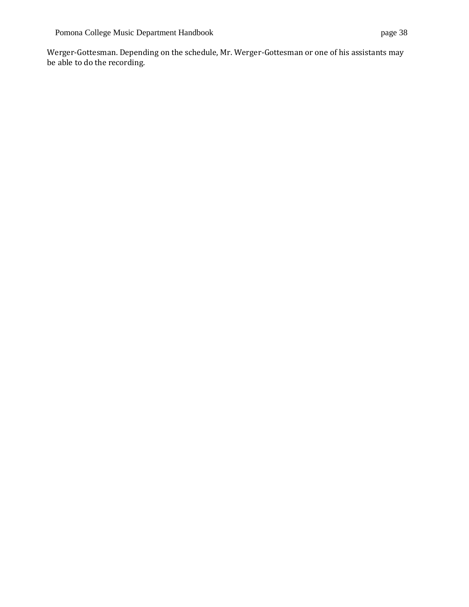Werger-Gottesman. Depending on the schedule, Mr. Werger-Gottesman or one of his assistants may be able to do the recording.